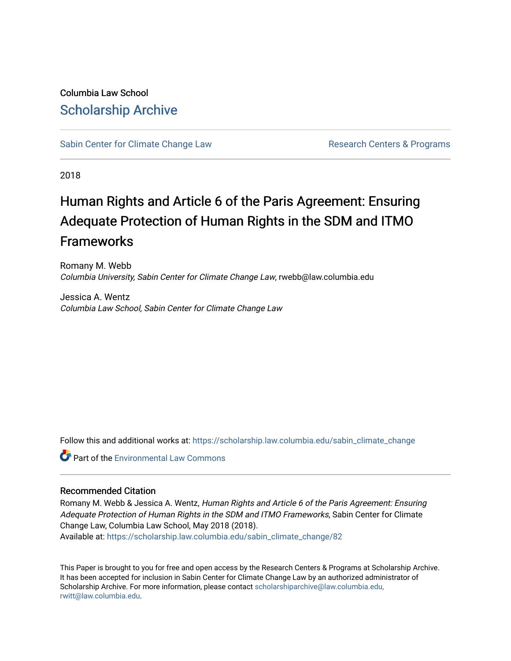Columbia Law School [Scholarship Archive](https://scholarship.law.columbia.edu/) 

[Sabin Center for Climate Change Law](https://scholarship.law.columbia.edu/sabin_climate_change) Research Centers & Programs

2018

## Human Rights and Article 6 of the Paris Agreement: Ensuring Adequate Protection of Human Rights in the SDM and ITMO Frameworks

Romany M. Webb Columbia University, Sabin Center for Climate Change Law, rwebb@law.columbia.edu

Jessica A. Wentz Columbia Law School, Sabin Center for Climate Change Law

Follow this and additional works at: [https://scholarship.law.columbia.edu/sabin\\_climate\\_change](https://scholarship.law.columbia.edu/sabin_climate_change?utm_source=scholarship.law.columbia.edu%2Fsabin_climate_change%2F82&utm_medium=PDF&utm_campaign=PDFCoverPages) 

**Part of the [Environmental Law Commons](http://network.bepress.com/hgg/discipline/599?utm_source=scholarship.law.columbia.edu%2Fsabin_climate_change%2F82&utm_medium=PDF&utm_campaign=PDFCoverPages)** 

#### Recommended Citation

Romany M. Webb & Jessica A. Wentz, Human Rights and Article 6 of the Paris Agreement: Ensuring Adequate Protection of Human Rights in the SDM and ITMO Frameworks, Sabin Center for Climate Change Law, Columbia Law School, May 2018 (2018).

Available at: [https://scholarship.law.columbia.edu/sabin\\_climate\\_change/82](https://scholarship.law.columbia.edu/sabin_climate_change/82?utm_source=scholarship.law.columbia.edu%2Fsabin_climate_change%2F82&utm_medium=PDF&utm_campaign=PDFCoverPages)

This Paper is brought to you for free and open access by the Research Centers & Programs at Scholarship Archive. It has been accepted for inclusion in Sabin Center for Climate Change Law by an authorized administrator of Scholarship Archive. For more information, please contact [scholarshiparchive@law.columbia.edu,](mailto:scholarshiparchive@law.columbia.edu,%20rwitt@law.columbia.edu) [rwitt@law.columbia.edu.](mailto:scholarshiparchive@law.columbia.edu,%20rwitt@law.columbia.edu)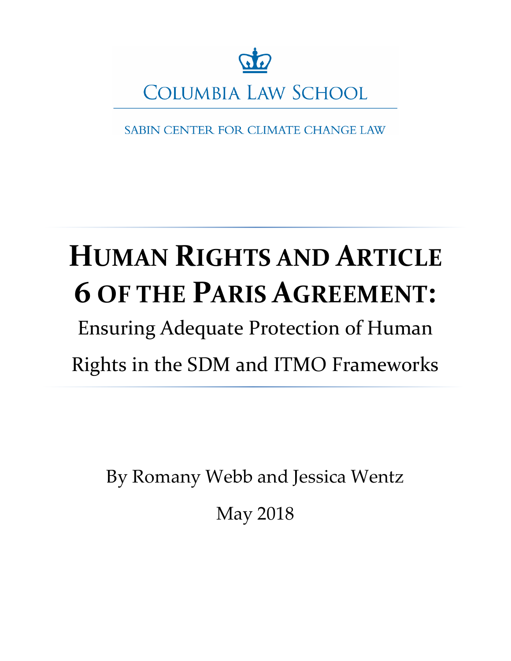

SABIN CENTER FOR CLIMATE CHANGE LAW

# **HUMAN RIGHTS AND ARTICLE 6 OF THE PARIS AGREEMENT:**

Ensuring Adequate Protection of Human Rights in the SDM and ITMO Frameworks

By Romany Webb and Jessica Wentz

May 2018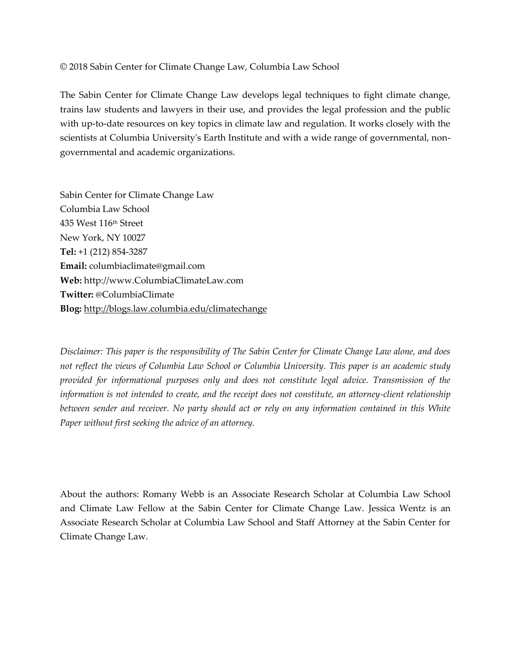#### © 2018 Sabin Center for Climate Change Law, Columbia Law School

The Sabin Center for Climate Change Law develops legal techniques to fight climate change, trains law students and lawyers in their use, and provides the legal profession and the public with up-to-date resources on key topics in climate law and regulation. It works closely with the scientists at Columbia University's Earth Institute and with a wide range of governmental, nongovernmental and academic organizations.

Sabin Center for Climate Change Law Columbia Law School 435 West 116th Street New York, NY 10027 **Tel:** +1 (212) 854-3287 **Email:** columbiaclimate@gmail.com **Web:** http://www.ColumbiaClimateLaw.com **Twitter:** @ColumbiaClimate **Blog:** <http://blogs.law.columbia.edu/climatechange>

*Disclaimer: This paper is the responsibility of The Sabin Center for Climate Change Law alone, and does not reflect the views of Columbia Law School or Columbia University. This paper is an academic study provided for informational purposes only and does not constitute legal advice. Transmission of the information is not intended to create, and the receipt does not constitute, an attorney-client relationship between sender and receiver. No party should act or rely on any information contained in this White Paper without first seeking the advice of an attorney.* 

About the authors: Romany Webb is an Associate Research Scholar at Columbia Law School and Climate Law Fellow at the Sabin Center for Climate Change Law. Jessica Wentz is an Associate Research Scholar at Columbia Law School and Staff Attorney at the Sabin Center for Climate Change Law.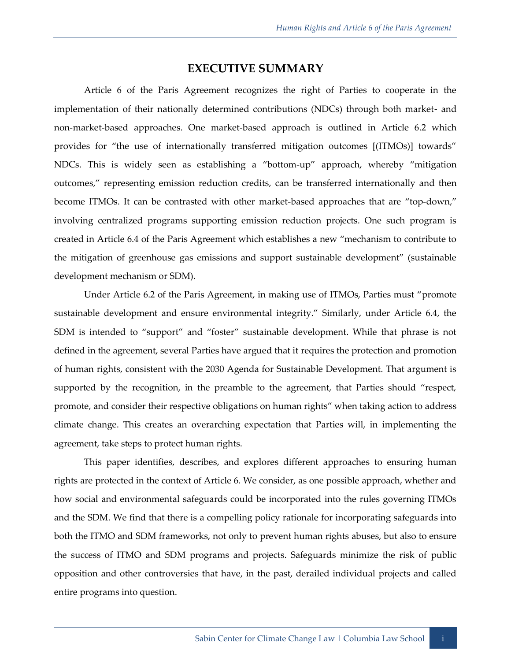#### **EXECUTIVE SUMMARY**

Article 6 of the Paris Agreement recognizes the right of Parties to cooperate in the implementation of their nationally determined contributions (NDCs) through both market- and non-market-based approaches. One market-based approach is outlined in Article 6.2 which provides for "the use of internationally transferred mitigation outcomes [(ITMOs)] towards" NDCs. This is widely seen as establishing a "bottom-up" approach, whereby "mitigation outcomes," representing emission reduction credits, can be transferred internationally and then become ITMOs. It can be contrasted with other market-based approaches that are "top-down," involving centralized programs supporting emission reduction projects. One such program is created in Article 6.4 of the Paris Agreement which establishes a new "mechanism to contribute to the mitigation of greenhouse gas emissions and support sustainable development" (sustainable development mechanism or SDM).

Under Article 6.2 of the Paris Agreement, in making use of ITMOs, Parties must "promote sustainable development and ensure environmental integrity." Similarly, under Article 6.4, the SDM is intended to "support" and "foster" sustainable development. While that phrase is not defined in the agreement, several Parties have argued that it requires the protection and promotion of human rights, consistent with the 2030 Agenda for Sustainable Development. That argument is supported by the recognition, in the preamble to the agreement, that Parties should "respect, promote, and consider their respective obligations on human rights" when taking action to address climate change. This creates an overarching expectation that Parties will, in implementing the agreement, take steps to protect human rights.

This paper identifies, describes, and explores different approaches to ensuring human rights are protected in the context of Article 6. We consider, as one possible approach, whether and how social and environmental safeguards could be incorporated into the rules governing ITMOs and the SDM. We find that there is a compelling policy rationale for incorporating safeguards into both the ITMO and SDM frameworks, not only to prevent human rights abuses, but also to ensure the success of ITMO and SDM programs and projects. Safeguards minimize the risk of public opposition and other controversies that have, in the past, derailed individual projects and called entire programs into question.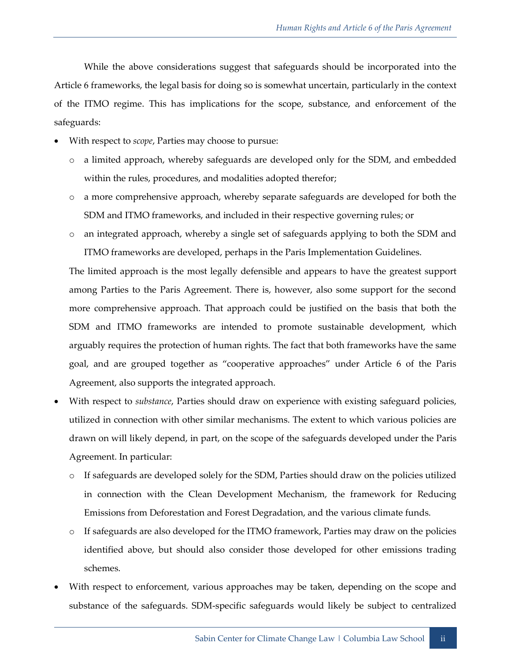While the above considerations suggest that safeguards should be incorporated into the Article 6 frameworks, the legal basis for doing so is somewhat uncertain, particularly in the context of the ITMO regime. This has implications for the scope, substance, and enforcement of the safeguards:

- With respect to *scope*, Parties may choose to pursue:
	- o a limited approach, whereby safeguards are developed only for the SDM, and embedded within the rules, procedures, and modalities adopted therefor;
	- o a more comprehensive approach, whereby separate safeguards are developed for both the SDM and ITMO frameworks, and included in their respective governing rules; or
	- o an integrated approach, whereby a single set of safeguards applying to both the SDM and ITMO frameworks are developed, perhaps in the Paris Implementation Guidelines.

The limited approach is the most legally defensible and appears to have the greatest support among Parties to the Paris Agreement. There is, however, also some support for the second more comprehensive approach. That approach could be justified on the basis that both the SDM and ITMO frameworks are intended to promote sustainable development, which arguably requires the protection of human rights. The fact that both frameworks have the same goal, and are grouped together as "cooperative approaches" under Article 6 of the Paris Agreement, also supports the integrated approach.

- With respect to *substance*, Parties should draw on experience with existing safeguard policies, utilized in connection with other similar mechanisms. The extent to which various policies are drawn on will likely depend, in part, on the scope of the safeguards developed under the Paris Agreement. In particular:
	- $\circ$  If safeguards are developed solely for the SDM, Parties should draw on the policies utilized in connection with the Clean Development Mechanism, the framework for Reducing Emissions from Deforestation and Forest Degradation, and the various climate funds.
	- o If safeguards are also developed for the ITMO framework, Parties may draw on the policies identified above, but should also consider those developed for other emissions trading schemes.
- With respect to enforcement, various approaches may be taken, depending on the scope and substance of the safeguards. SDM-specific safeguards would likely be subject to centralized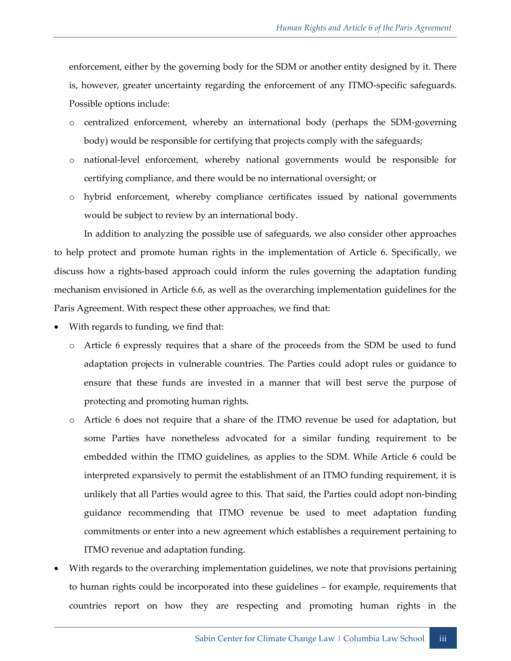enforcement, either by the governing body for the SDM or another entity designed by it. There is, however, greater uncertainty regarding the enforcement of any ITMO-specific safeguards. Possible options include:

- o centralized enforcement, whereby an international body (perhaps the SDM-governing body) would be responsible for certifying that projects comply with the safeguards;
- o national-level enforcement, whereby national governments would be responsible for certifying compliance, and there would be no international oversight; or
- o hybrid enforcement, whereby compliance certificates issued by national governments would be subject to review by an international body.

In addition to analyzing the possible use of safeguards, we also consider other approaches to help protect and promote human rights in the implementation of Article 6. Specifically, we discuss how a rights-based approach could inform the rules governing the adaptation funding mechanism envisioned in Article 6.6, as well as the overarching implementation guidelines for the Paris Agreement. With respect these other approaches, we find that:

- With regards to funding, we find that:
	- o Article 6 expressly requires that a share of the proceeds from the SDM be used to fund adaptation projects in vulnerable countries. The Parties could adopt rules or guidance to ensure that these funds are invested in a manner that will best serve the purpose of protecting and promoting human rights.
	- o Article 6 does not require that a share of the ITMO revenue be used for adaptation, but some Parties have nonetheless advocated for a similar funding requirement to be embedded within the ITMO guidelines, as applies to the SDM. While Article 6 could be interpreted expansively to permit the establishment of an ITMO funding requirement, it is unlikely that all Parties would agree to this. That said, the Parties could adopt non-binding guidance recommending that ITMO revenue be used to meet adaptation funding commitments or enter into a new agreement which establishes a requirement pertaining to ITMO revenue and adaptation funding.
- With regards to the overarching implementation guidelines, we note that provisions pertaining to human rights could be incorporated into these guidelines – for example, requirements that countries report on how they are respecting and promoting human rights in the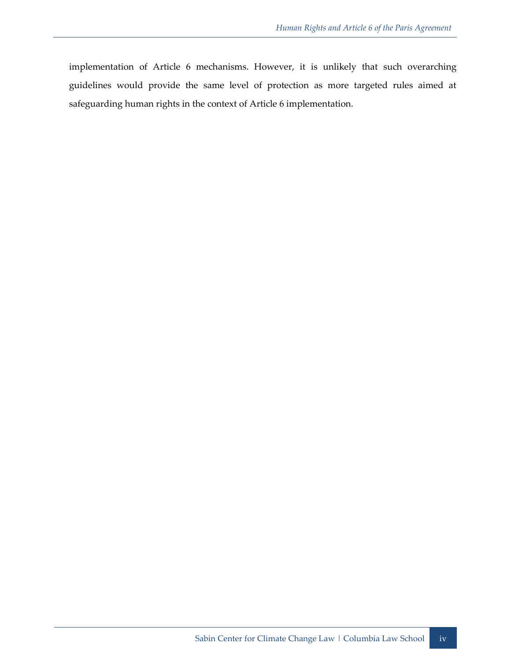implementation of Article 6 mechanisms. However, it is unlikely that such overarching guidelines would provide the same level of protection as more targeted rules aimed at safeguarding human rights in the context of Article 6 implementation.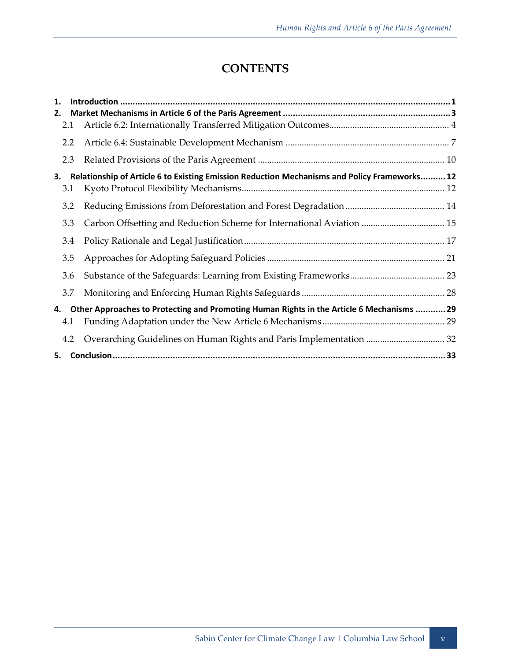### **CONTENTS**

| 1.                                                                                              |     |                                                                                              |  |
|-------------------------------------------------------------------------------------------------|-----|----------------------------------------------------------------------------------------------|--|
| 2.                                                                                              |     |                                                                                              |  |
|                                                                                                 | 2.1 |                                                                                              |  |
|                                                                                                 | 2.2 |                                                                                              |  |
|                                                                                                 | 2.3 |                                                                                              |  |
| 3.                                                                                              |     | Relationship of Article 6 to Existing Emission Reduction Mechanisms and Policy Frameworks 12 |  |
|                                                                                                 | 3.1 |                                                                                              |  |
|                                                                                                 | 3.2 |                                                                                              |  |
|                                                                                                 | 3.3 | Carbon Offsetting and Reduction Scheme for International Aviation  15                        |  |
|                                                                                                 | 3.4 |                                                                                              |  |
|                                                                                                 | 3.5 |                                                                                              |  |
|                                                                                                 | 3.6 |                                                                                              |  |
|                                                                                                 | 3.7 |                                                                                              |  |
| Other Approaches to Protecting and Promoting Human Rights in the Article 6 Mechanisms  29<br>4. |     |                                                                                              |  |
|                                                                                                 | 4.1 |                                                                                              |  |
|                                                                                                 | 4.2 |                                                                                              |  |
| 5.                                                                                              |     |                                                                                              |  |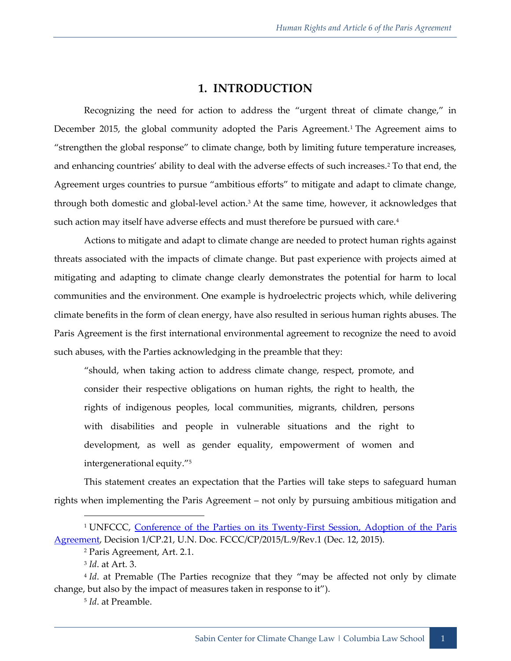#### **1. INTRODUCTION**

<span id="page-8-0"></span>Recognizing the need for action to address the "urgent threat of climate change," in December 2015, the global community adopted the Paris Agreement.<sup>1</sup> The Agreement aims to "strengthen the global response" to climate change, both by limiting future temperature increases, and enhancing countries' ability to deal with the adverse effects of such increases.<sup>2</sup> To that end, the Agreement urges countries to pursue "ambitious efforts" to mitigate and adapt to climate change, through both domestic and global-level action.<sup>3</sup> At the same time, however, it acknowledges that such action may itself have adverse effects and must therefore be pursued with care.<sup>4</sup>

Actions to mitigate and adapt to climate change are needed to protect human rights against threats associated with the impacts of climate change. But past experience with projects aimed at mitigating and adapting to climate change clearly demonstrates the potential for harm to local communities and the environment. One example is hydroelectric projects which, while delivering climate benefits in the form of clean energy, have also resulted in serious human rights abuses. The Paris Agreement is the first international environmental agreement to recognize the need to avoid such abuses, with the Parties acknowledging in the preamble that they:

"should, when taking action to address climate change, respect, promote, and consider their respective obligations on human rights, the right to health, the rights of indigenous peoples, local communities, migrants, children, persons with disabilities and people in vulnerable situations and the right to development, as well as gender equality, empowerment of women and intergenerational equity."<sup>5</sup>

This statement creates an expectation that the Parties will take steps to safeguard human rights when implementing the Paris Agreement – not only by pursuing ambitious mitigation and

<sup>&</sup>lt;sup>1</sup> UNFCCC, Conference of the Parties on its Twenty-First Session, Adoption of the Paris [Agreement,](http://unfccc.int/resource/docs/2015/cop21/eng/l09r01.pdf) Decision 1/CP.21, U.N. Doc. FCCC/CP/2015/L.9/Rev.1 (Dec. 12, 2015).

<sup>2</sup> Paris Agreement, Art. 2.1.

<sup>3</sup> *Id*. at Art. 3.

<sup>&</sup>lt;sup>4</sup> *Id*. at Premable (The Parties recognize that they "may be affected not only by climate change, but also by the impact of measures taken in response to it").

<sup>5</sup> *Id*. at Preamble.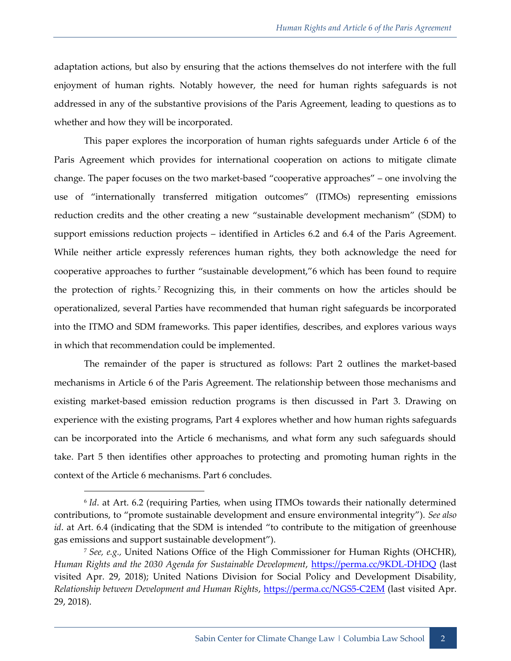adaptation actions, but also by ensuring that the actions themselves do not interfere with the full enjoyment of human rights. Notably however, the need for human rights safeguards is not addressed in any of the substantive provisions of the Paris Agreement, leading to questions as to whether and how they will be incorporated.

This paper explores the incorporation of human rights safeguards under Article 6 of the Paris Agreement which provides for international cooperation on actions to mitigate climate change. The paper focuses on the two market-based "cooperative approaches" – one involving the use of "internationally transferred mitigation outcomes" (ITMOs) representing emissions reduction credits and the other creating a new "sustainable development mechanism" (SDM) to support emissions reduction projects – identified in Articles 6.2 and 6.4 of the Paris Agreement. While neither article expressly references human rights, they both acknowledge the need for cooperative approaches to further "sustainable development,"6 which has been found to require the protection of rights.<sup>7</sup> Recognizing this, in their comments on how the articles should be operationalized, several Parties have recommended that human right safeguards be incorporated into the ITMO and SDM frameworks. This paper identifies, describes, and explores various ways in which that recommendation could be implemented.

<span id="page-9-0"></span>The remainder of the paper is structured as follows: Part 2 outlines the market-based mechanisms in Article 6 of the Paris Agreement. The relationship between those mechanisms and existing market-based emission reduction programs is then discussed in Part 3. Drawing on experience with the existing programs, Part 4 explores whether and how human rights safeguards can be incorporated into the Article 6 mechanisms, and what form any such safeguards should take. Part 5 then identifies other approaches to protecting and promoting human rights in the context of the Article 6 mechanisms. Part 6 concludes.

<sup>&</sup>lt;sup>6</sup> Id. at Art. 6.2 (requiring Parties, when using ITMOs towards their nationally determined contributions, to "promote sustainable development and ensure environmental integrity"). *See also id*. at Art. 6.4 (indicating that the SDM is intended "to contribute to the mitigation of greenhouse gas emissions and support sustainable development").

<sup>7</sup> *See, e.g.,* United Nations Office of the High Commissioner for Human Rights (OHCHR), *Human Rights and the 2030 Agenda for Sustainable Development*,<https://perma.cc/9KDL-DHDQ> (last visited Apr. 29, 2018); United Nations Division for Social Policy and Development Disability, *Relationship between Development and Human Rights*,<https://perma.cc/NGS5-C2EM> (last visited Apr. 29, 2018).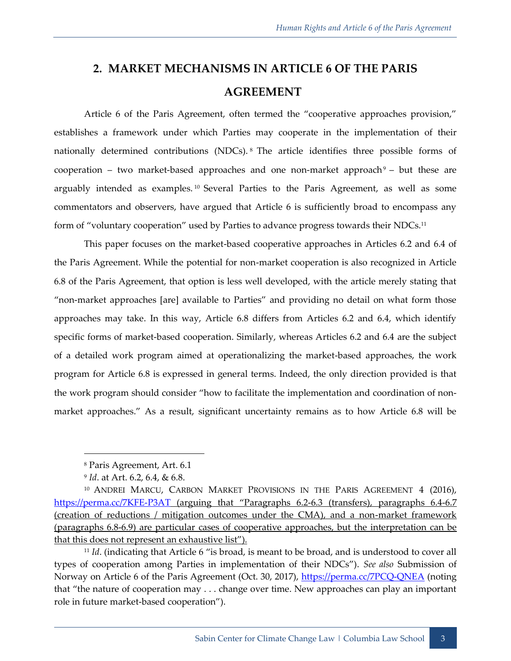## <span id="page-10-0"></span>**2. MARKET MECHANISMS IN ARTICLE 6 OF THE PARIS AGREEMENT**

Article 6 of the Paris Agreement, often termed the "cooperative approaches provision," establishes a framework under which Parties may cooperate in the implementation of their nationally determined contributions (NDCs). <sup>8</sup> The article identifies three possible forms of cooperation – two market-based approaches and one non-market approach $9$  – but these are arguably intended as examples. <sup>10</sup> Several Parties to the Paris Agreement, as well as some commentators and observers, have argued that Article 6 is sufficiently broad to encompass any form of "voluntary cooperation" used by Parties to advance progress towards their NDCs.<sup>11</sup>

<span id="page-10-1"></span>This paper focuses on the market-based cooperative approaches in Articles 6.2 and 6.4 of the Paris Agreement. While the potential for non-market cooperation is also recognized in Article 6.8 of the Paris Agreement, that option is less well developed, with the article merely stating that "non-market approaches [are] available to Parties" and providing no detail on what form those approaches may take. In this way, Article 6.8 differs from Articles 6.2 and 6.4, which identify specific forms of market-based cooperation. Similarly, whereas Articles 6.2 and 6.4 are the subject of a detailed work program aimed at operationalizing the market-based approaches, the work program for Article 6.8 is expressed in general terms. Indeed, the only direction provided is that the work program should consider "how to facilitate the implementation and coordination of nonmarket approaches." As a result, significant uncertainty remains as to how Article 6.8 will be

<sup>8</sup> Paris Agreement, Art. 6.1

<sup>9</sup> *Id*. at Art. 6.2, 6.4, & 6.8.

<sup>&</sup>lt;sup>10</sup> ANDREI MARCU, CARBON MARKET PROVISIONS IN THE PARIS AGREEMENT 4 (2016), <https://perma.cc/7KFE-P3AT> (arguing that "Paragraphs 6.2-6.3 (transfers), paragraphs 6.4-6.7 (creation of reductions / mitigation outcomes under the CMA), and a non-market framework (paragraphs 6.8-6.9) are particular cases of cooperative approaches, but the interpretation can be that this does not represent an exhaustive list").

<sup>&</sup>lt;sup>11</sup> *Id.* (indicating that Article 6 "is broad, is meant to be broad, and is understood to cover all types of cooperation among Parties in implementation of their NDCs"). *See also* Submission of Norway on Article 6 of the Paris Agreement (Oct. 30, 2017),<https://perma.cc/7PCQ-QNEA> (noting that "the nature of cooperation may . . . change over time. New approaches can play an important role in future market-based cooperation").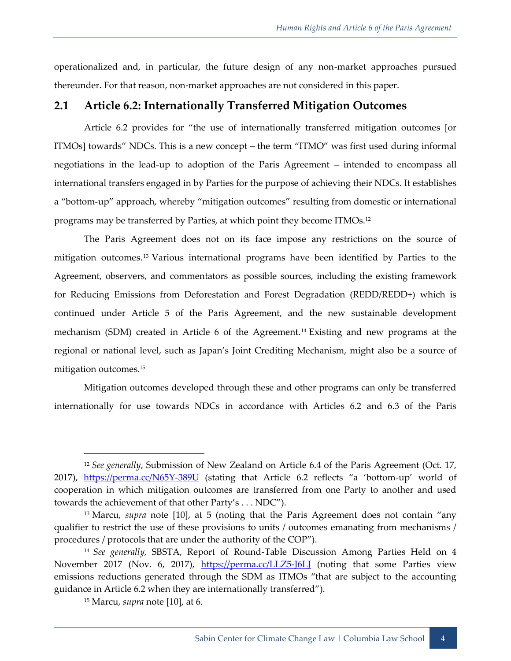operationalized and, in particular, the future design of any non-market approaches pursued thereunder. For that reason, non-market approaches are not considered in this paper.

#### <span id="page-11-0"></span>**2.1 Article 6.2: Internationally Transferred Mitigation Outcomes**

Article 6.2 provides for "the use of internationally transferred mitigation outcomes [or ITMOs] towards" NDCs. This is a new concept – the term "ITMO" was first used during informal negotiations in the lead-up to adoption of the Paris Agreement – intended to encompass all international transfers engaged in by Parties for the purpose of achieving their NDCs. It establishes a "bottom-up" approach, whereby "mitigation outcomes" resulting from domestic or international programs may be transferred by Parties, at which point they become ITMOs.<sup>12</sup>

The Paris Agreement does not on its face impose any restrictions on the source of mitigation outcomes. <sup>13</sup> Various international programs have been identified by Parties to the Agreement, observers, and commentators as possible sources, including the existing framework for Reducing Emissions from Deforestation and Forest Degradation (REDD/REDD+) which is continued under Article 5 of the Paris Agreement, and the new sustainable development mechanism (SDM) created in Article 6 of the Agreement.<sup>14</sup> Existing and new programs at the regional or national level, such as Japan's Joint Crediting Mechanism, might also be a source of mitigation outcomes.<sup>15</sup>

Mitigation outcomes developed through these and other programs can only be transferred internationally for use towards NDCs in accordance with Articles 6.2 and 6.3 of the Paris

<sup>12</sup> *See generally*, Submission of New Zealand on Article 6.4 of the Paris Agreement (Oct. 17, 2017), <https://perma.cc/N65Y-389U> (stating that Article 6.2 reflects "a 'bottom-up' world of cooperation in which mitigation outcomes are transferred from one Party to another and used towards the achievement of that other Party's . . . NDC").

<sup>&</sup>lt;sup>13</sup> Marcu, *supra* note [\[10](#page-10-1)], at 5 (noting that the Paris Agreement does not contain "any qualifier to restrict the use of these provisions to units / outcomes emanating from mechanisms / procedures / protocols that are under the authority of the COP").

<sup>14</sup> *See generally,* SBSTA, Report of Round-Table Discussion Among Parties Held on 4 November 2017 (Nov. 6, 2017), https://perma.cc/LLZ5-J6LI (noting that some Parties view emissions reductions generated through the SDM as ITMOs "that are subject to the accounting guidance in Article 6.2 when they are internationally transferred").

<sup>15</sup> Marcu, *supra* note [\[10\]](#page-10-1), at 6.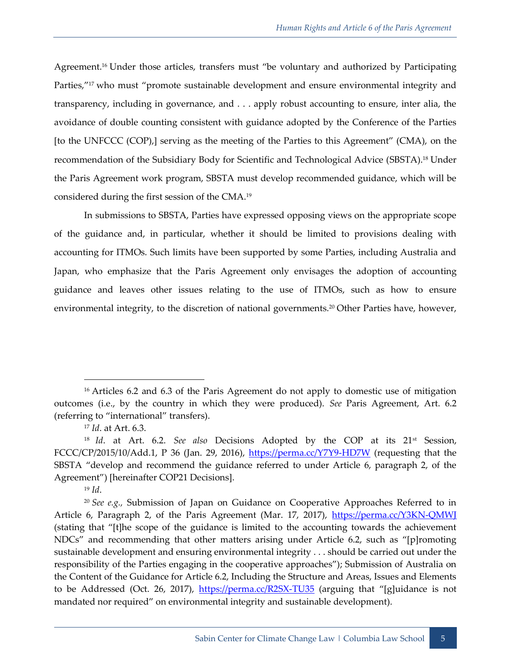Agreement.<sup>16</sup> Under those articles, transfers must "be voluntary and authorized by Participating Parties,"<sup>17</sup> who must "promote sustainable development and ensure environmental integrity and transparency, including in governance, and . . . apply robust accounting to ensure, inter alia, the avoidance of double counting consistent with guidance adopted by the Conference of the Parties [to the UNFCCC (COP),] serving as the meeting of the Parties to this Agreement" (CMA), on the recommendation of the Subsidiary Body for Scientific and Technological Advice (SBSTA).<sup>18</sup> Under the Paris Agreement work program, SBSTA must develop recommended guidance, which will be considered during the first session of the CMA.<sup>19</sup>

<span id="page-12-0"></span>In submissions to SBSTA, Parties have expressed opposing views on the appropriate scope of the guidance and, in particular, whether it should be limited to provisions dealing with accounting for ITMOs. Such limits have been supported by some Parties, including Australia and Japan, who emphasize that the Paris Agreement only envisages the adoption of accounting guidance and leaves other issues relating to the use of ITMOs, such as how to ensure environmental integrity, to the discretion of national governments.<sup>20</sup> Other Parties have, however,

<sup>19</sup> *Id*.

<sup>&</sup>lt;sup>16</sup> Articles 6.2 and 6.3 of the Paris Agreement do not apply to domestic use of mitigation outcomes (i.e., by the country in which they were produced). *See* Paris Agreement, Art. 6.2 (referring to "international" transfers).

<sup>17</sup> *Id*. at Art. 6.3.

<sup>18</sup> *Id*. at Art. 6.2. *See also* Decisions Adopted by the COP at its 21st Session, FCCC/CP/2015/10/Add.1, P 36 (Jan. 29, 2016),<https://perma.cc/Y7Y9-HD7W> (requesting that the SBSTA "develop and recommend the guidance referred to under Article 6, paragraph 2, of the Agreement") [hereinafter COP21 Decisions].

<sup>20</sup> *See e.g.,* Submission of Japan on Guidance on Cooperative Approaches Referred to in Article 6, Paragraph 2, of the Paris Agreement (Mar. 17, 2017), https://perma.cc/Y3KN-QMWI (stating that "[t]he scope of the guidance is limited to the accounting towards the achievement NDCs" and recommending that other matters arising under Article 6.2, such as "[p]romoting sustainable development and ensuring environmental integrity . . . should be carried out under the responsibility of the Parties engaging in the cooperative approaches"); Submission of Australia on the Content of the Guidance for Article 6.2, Including the Structure and Areas, Issues and Elements to be Addressed (Oct. 26, 2017), <https://perma.cc/R2SX-TU35> (arguing that "[g]uidance is not mandated nor required" on environmental integrity and sustainable development).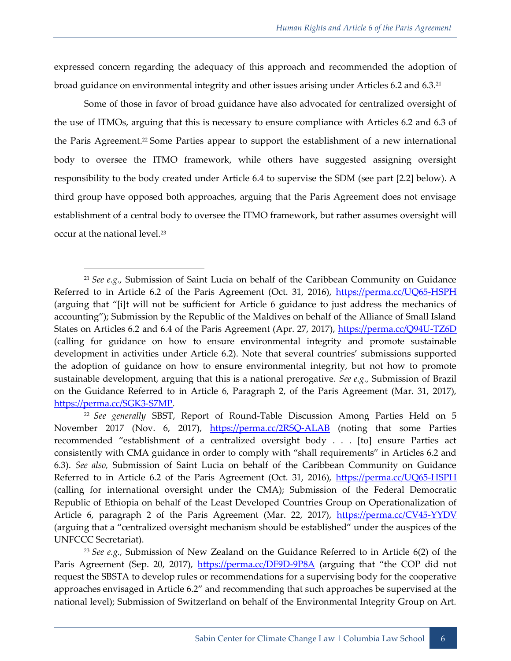expressed concern regarding the adequacy of this approach and recommended the adoption of broad guidance on environmental integrity and other issues arising under Articles 6.2 and 6.3.<sup>21</sup>

Some of those in favor of broad guidance have also advocated for centralized oversight of the use of ITMOs, arguing that this is necessary to ensure compliance with Articles 6.2 and 6.3 of the Paris Agreement.<sup>22</sup> Some Parties appear to support the establishment of a new international body to oversee the ITMO framework, while others have suggested assigning oversight responsibility to the body created under Article 6.4 to supervise the SDM (see part [2.2] below). A third group have opposed both approaches, arguing that the Paris Agreement does not envisage establishment of a central body to oversee the ITMO framework, but rather assumes oversight will occur at the national level.<sup>23</sup>

<sup>23</sup> *See e.g.,* Submission of New Zealand on the Guidance Referred to in Article 6(2) of the Paris Agreement (Sep. 20, 2017), <https://perma.cc/DF9D-9P8A> (arguing that "the COP did not request the SBSTA to develop rules or recommendations for a supervising body for the cooperative approaches envisaged in Article 6.2" and recommending that such approaches be supervised at the national level); Submission of Switzerland on behalf of the Environmental Integrity Group on Art.

<sup>21</sup> *See e.g.,* Submission of Saint Lucia on behalf of the Caribbean Community on Guidance Referred to in Article 6.2 of the Paris Agreement (Oct. 31, 2016),<https://perma.cc/UQ65-HSPH> (arguing that "[i]t will not be sufficient for Article 6 guidance to just address the mechanics of accounting"); Submission by the Republic of the Maldives on behalf of the Alliance of Small Island States on Articles 6.2 and 6.4 of the Paris Agreement (Apr. 27, 2017),<https://perma.cc/Q94U-TZ6D> (calling for guidance on how to ensure environmental integrity and promote sustainable development in activities under Article 6.2). Note that several countries' submissions supported the adoption of guidance on how to ensure environmental integrity, but not how to promote sustainable development, arguing that this is a national prerogative. *See e.g.,* Submission of Brazil on the Guidance Referred to in Article 6, Paragraph 2, of the Paris Agreement (Mar. 31, 2017), [https://perma.cc/SGK3-S7MP.](https://perma.cc/SGK3-S7MP)

<sup>22</sup> *See generally* SBST, Report of Round-Table Discussion Among Parties Held on 5 November 2017 (Nov. 6, 2017), <https://perma.cc/2RSQ-ALAB> (noting that some Parties recommended "establishment of a centralized oversight body . . . [to] ensure Parties act consistently with CMA guidance in order to comply with "shall requirements" in Articles 6.2 and 6.3). *See also,* Submission of Saint Lucia on behalf of the Caribbean Community on Guidance Referred to in Article 6.2 of the Paris Agreement (Oct. 31, 2016),<https://perma.cc/UQ65-HSPH> (calling for international oversight under the CMA); Submission of the Federal Democratic Republic of Ethiopia on behalf of the Least Developed Countries Group on Operationalization of Article 6, paragraph 2 of the Paris Agreement (Mar. 22, 2017), <https://perma.cc/CV45-YYDV> (arguing that a "centralized oversight mechanism should be established" under the auspices of the UNFCCC Secretariat).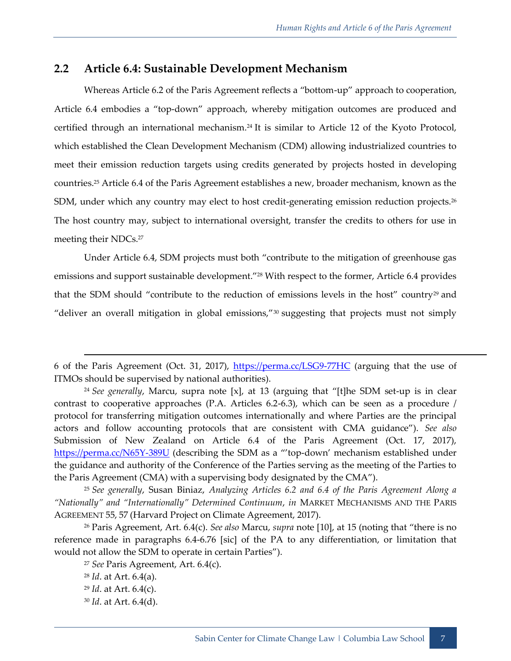#### <span id="page-14-0"></span>**2.2 Article 6.4: Sustainable Development Mechanism**

Whereas Article 6.2 of the Paris Agreement reflects a "bottom-up" approach to cooperation, Article 6.4 embodies a "top-down" approach, whereby mitigation outcomes are produced and certified through an international mechanism.<sup>24</sup> It is similar to Article 12 of the Kyoto Protocol, which established the Clean Development Mechanism (CDM) allowing industrialized countries to meet their emission reduction targets using credits generated by projects hosted in developing countries.<sup>25</sup> Article 6.4 of the Paris Agreement establishes a new, broader mechanism, known as the SDM, under which any country may elect to host credit-generating emission reduction projects.<sup>26</sup> The host country may, subject to international oversight, transfer the credits to others for use in meeting their NDCs.<sup>27</sup>

Under Article 6.4, SDM projects must both "contribute to the mitigation of greenhouse gas emissions and support sustainable development."<sup>28</sup> With respect to the former, Article 6.4 provides that the SDM should "contribute to the reduction of emissions levels in the host" country<sup>29</sup> and "deliver an overall mitigation in global emissions,"<sup>30</sup> suggesting that projects must not simply

<sup>25</sup> *See generally*, Susan Biniaz, *Analyzing Articles 6.2 and 6.4 of the Paris Agreement Along a "Nationally" and "Internationally" Determined Continuum*, *in* MARKET MECHANISMS AND THE PARIS AGREEMENT 55, 57 (Harvard Project on Climate Agreement, 2017).

<sup>26</sup> Paris Agreement, Art. 6.4(c). *See also* Marcu, *supra* note [\[10](#page-10-1)], at 15 (noting that "there is no reference made in paragraphs 6.4-6.76 [sic] of the PA to any differentiation, or limitation that would not allow the SDM to operate in certain Parties").

<sup>27</sup> *See* Paris Agreement, Art. 6.4(c). <sup>28</sup> *Id*. at Art. 6.4(a). <sup>29</sup> *Id*. at Art. 6.4(c).

<sup>30</sup> *Id*. at Art. 6.4(d).

<sup>6</sup> of the Paris Agreement (Oct. 31, 2017),<https://perma.cc/LSG9-77HC> (arguing that the use of ITMOs should be supervised by national authorities).

<sup>24</sup> *See generally*, Marcu, supra note [x], at 13 (arguing that "[t]he SDM set-up is in clear contrast to cooperative approaches (P.A. Articles 6.2-6.3), which can be seen as a procedure / protocol for transferring mitigation outcomes internationally and where Parties are the principal actors and follow accounting protocols that are consistent with CMA guidance"). *See also* Submission of New Zealand on Article 6.4 of the Paris Agreement (Oct. 17, 2017), <https://perma.cc/N65Y-389U> (describing the SDM as a "'top-down' mechanism established under the guidance and authority of the Conference of the Parties serving as the meeting of the Parties to the Paris Agreement (CMA) with a supervising body designated by the CMA").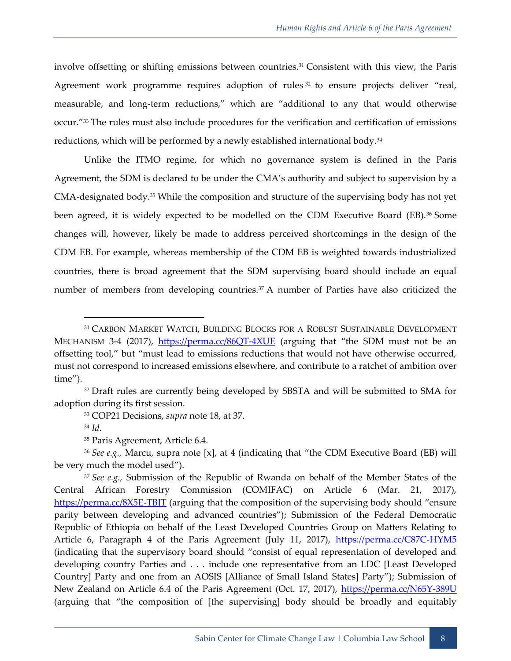involve offsetting or shifting emissions between countries.<sup>31</sup> Consistent with this view, the Paris Agreement work programme requires adoption of rules<sup>32</sup> to ensure projects deliver "real, measurable, and long-term reductions," which are "additional to any that would otherwise occur."<sup>33</sup> The rules must also include procedures for the verification and certification of emissions reductions, which will be performed by a newly established international body.<sup>34</sup>

Unlike the ITMO regime, for which no governance system is defined in the Paris Agreement, the SDM is declared to be under the CMA's authority and subject to supervision by a CMA-designated body.<sup>35</sup> While the composition and structure of the supervising body has not yet been agreed, it is widely expected to be modelled on the CDM Executive Board (EB).<sup>36</sup> Some changes will, however, likely be made to address perceived shortcomings in the design of the CDM EB. For example, whereas membership of the CDM EB is weighted towards industrialized countries, there is broad agreement that the SDM supervising board should include an equal number of members from developing countries.<sup>37</sup> A number of Parties have also criticized the

-

<sup>36</sup> *See e.g.,* Marcu, supra note [x], at 4 (indicating that "the CDM Executive Board (EB) will be very much the model used").

<sup>37</sup> *See e.g.,* Submission of the Republic of Rwanda on behalf of the Member States of the Central African Forestry Commission (COMIFAC) on Article 6 (Mar. 21, 2017), <https://perma.cc/8X5E-TBJT> (arguing that the composition of the supervising body should "ensure parity between developing and advanced countries"); Submission of the Federal Democratic Republic of Ethiopia on behalf of the Least Developed Countries Group on Matters Relating to Article 6, Paragraph 4 of the Paris Agreement (July 11, 2017), *<https://perma.cc/C87C-HYM5>* (indicating that the supervisory board should "consist of equal representation of developed and developing country Parties and . . . include one representative from an LDC [Least Developed Country] Party and one from an AOSIS [Alliance of Small Island States] Party"); Submission of New Zealand on Article 6.4 of the Paris Agreement (Oct. 17, 2017),<https://perma.cc/N65Y-389U> (arguing that "the composition of [the supervising] body should be broadly and equitably

<sup>31</sup> CARBON MARKET WATCH, BUILDING BLOCKS FOR A ROBUST SUSTAINABLE DEVELOPMENT MECHANISM 3-4 (2017), <https://perma.cc/86QT-4XUE> (arguing that "the SDM must not be an offsetting tool," but "must lead to emissions reductions that would not have otherwise occurred, must not correspond to increased emissions elsewhere, and contribute to a ratchet of ambition over time").

<sup>&</sup>lt;sup>32</sup> Draft rules are currently being developed by SBSTA and will be submitted to SMA for adoption during its first session.

<sup>33</sup> COP21 Decisions, *supra* note [18,](#page-12-0) at 37.

<sup>34</sup> *Id*.

<sup>&</sup>lt;sup>35</sup> Paris Agreement, Article 6.4.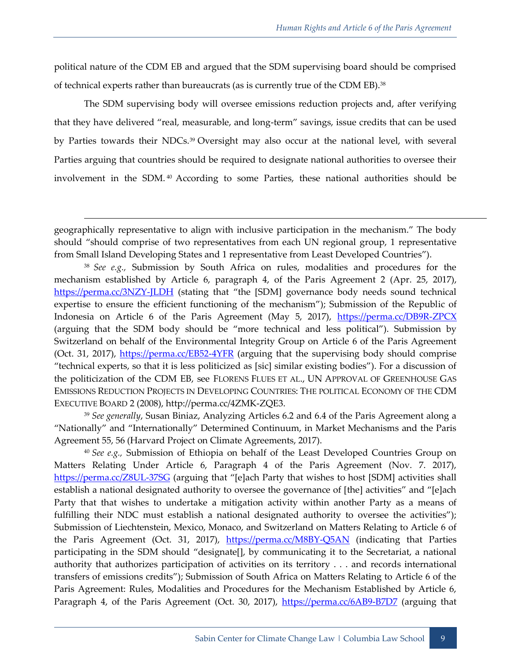political nature of the CDM EB and argued that the SDM supervising board should be comprised of technical experts rather than bureaucrats (as is currently true of the CDM EB).<sup>38</sup>

The SDM supervising body will oversee emissions reduction projects and, after verifying that they have delivered "real, measurable, and long-term" savings, issue credits that can be used by Parties towards their NDCs.<sup>39</sup> Oversight may also occur at the national level, with several Parties arguing that countries should be required to designate national authorities to oversee their involvement in the SDM. <sup>40</sup> According to some Parties, these national authorities should be

1

<sup>38</sup> *See e.g.,* Submission by South Africa on rules, modalities and procedures for the mechanism established by Article 6, paragraph 4, of the Paris Agreement 2 (Apr. 25, 2017), <https://perma.cc/3NZY-JLDH> (stating that "the [SDM] governance body needs sound technical expertise to ensure the efficient functioning of the mechanism"); Submission of the Republic of Indonesia on Article 6 of the Paris Agreement (May 5, 2017), <https://perma.cc/DB9R-ZPCX> (arguing that the SDM body should be "more technical and less political"). Submission by Switzerland on behalf of the Environmental Integrity Group on Article 6 of the Paris Agreement (Oct. 31, 2017),<https://perma.cc/EB52-4YFR> (arguing that the supervising body should comprise "technical experts, so that it is less politicized as [sic] similar existing bodies"). For a discussion of the politicization of the CDM EB, see FLORENS FLUES ET AL., UN APPROVAL OF GREENHOUSE GAS EMISSIONS REDUCTION PROJECTS IN DEVELOPING COUNTRIES: THE POLITICAL ECONOMY OF THE CDM EXECUTIVE BOARD 2 (2008), http://perma.cc/4ZMK-ZQE3.

<sup>39</sup> *See generally*, Susan Biniaz, Analyzing Articles 6.2 and 6.4 of the Paris Agreement along a "Nationally" and "Internationally" Determined Continuum, in Market Mechanisms and the Paris Agreement 55, 56 (Harvard Project on Climate Agreements, 2017).

<sup>40</sup> *See e.g.,* Submission of Ethiopia on behalf of the Least Developed Countries Group on Matters Relating Under Article 6, Paragraph 4 of the Paris Agreement (Nov. 7. 2017), <https://perma.cc/Z8UL-37SG> (arguing that "[e]ach Party that wishes to host [SDM] activities shall establish a national designated authority to oversee the governance of [the] activities" and "[e]ach Party that that wishes to undertake a mitigation activity within another Party as a means of fulfilling their NDC must establish a national designated authority to oversee the activities"); Submission of Liechtenstein, Mexico, Monaco, and Switzerland on Matters Relating to Article 6 of the Paris Agreement (Oct. 31, 2017), <https://perma.cc/M8BY-Q5AN> (indicating that Parties participating in the SDM should "designate[], by communicating it to the Secretariat, a national authority that authorizes participation of activities on its territory . . . and records international transfers of emissions credits"); Submission of South Africa on Matters Relating to Article 6 of the Paris Agreement: Rules, Modalities and Procedures for the Mechanism Established by Article 6, Paragraph 4, of the Paris Agreement (Oct. 30, 2017), <https://perma.cc/6AB9-B7D7> (arguing that

geographically representative to align with inclusive participation in the mechanism." The body should "should comprise of two representatives from each UN regional group, 1 representative from Small Island Developing States and 1 representative from Least Developed Countries").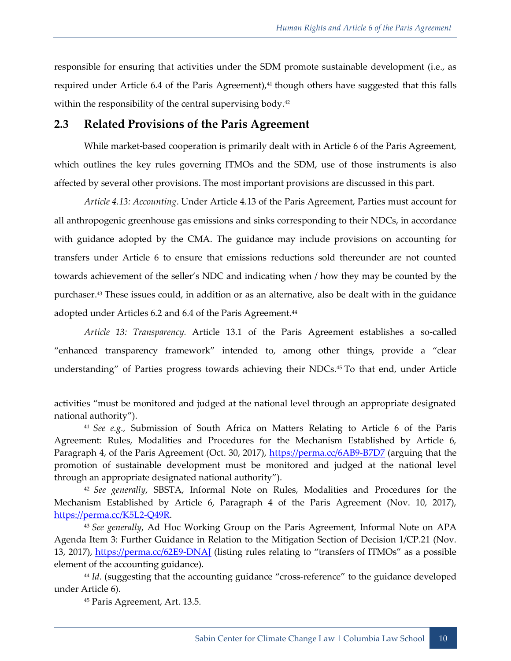responsible for ensuring that activities under the SDM promote sustainable development (i.e., as required under Article 6.4 of the Paris Agreement),<sup>41</sup> though others have suggested that this falls within the responsibility of the central supervising body.<sup>42</sup>

#### <span id="page-17-0"></span>**2.3 Related Provisions of the Paris Agreement**

While market-based cooperation is primarily dealt with in Article 6 of the Paris Agreement, which outlines the key rules governing ITMOs and the SDM, use of those instruments is also affected by several other provisions. The most important provisions are discussed in this part.

*Article 4.13: Accounting*. Under Article 4.13 of the Paris Agreement, Parties must account for all anthropogenic greenhouse gas emissions and sinks corresponding to their NDCs, in accordance with guidance adopted by the CMA. The guidance may include provisions on accounting for transfers under Article 6 to ensure that emissions reductions sold thereunder are not counted towards achievement of the seller's NDC and indicating when / how they may be counted by the purchaser.<sup>43</sup> These issues could, in addition or as an alternative, also be dealt with in the guidance adopted under Articles 6.2 and 6.4 of the Paris Agreement.<sup>44</sup>

*Article 13: Transparency.* Article 13.1 of the Paris Agreement establishes a so-called "enhanced transparency framework" intended to, among other things, provide a "clear understanding" of Parties progress towards achieving their NDCs.<sup>45</sup> To that end, under Article

<sup>42</sup> *See generally*, SBSTA, Informal Note on Rules, Modalities and Procedures for the Mechanism Established by Article 6, Paragraph 4 of the Paris Agreement (Nov. 10, 2017), [https://perma.cc/K5L2-Q49R.](https://perma.cc/K5L2-Q49R)

<sup>43</sup> *See generally*, Ad Hoc Working Group on the Paris Agreement, Informal Note on APA Agenda Item 3: Further Guidance in Relation to the Mitigation Section of Decision 1/CP.21 (Nov. 13, 2017), https://perma.cc/62E9-DNAI (listing rules relating to "transfers of ITMOs" as a possible element of the accounting guidance).

<sup>44</sup> *Id.* (suggesting that the accounting guidance "cross-reference" to the guidance developed under Article 6).

<sup>45</sup> Paris Agreement, Art. 13.5.

activities "must be monitored and judged at the national level through an appropriate designated national authority").

<sup>41</sup> *See e.g.,* Submission of South Africa on Matters Relating to Article 6 of the Paris Agreement: Rules, Modalities and Procedures for the Mechanism Established by Article 6, Paragraph 4, of the Paris Agreement (Oct. 30, 2017),<https://perma.cc/6AB9-B7D7> (arguing that the promotion of sustainable development must be monitored and judged at the national level through an appropriate designated national authority").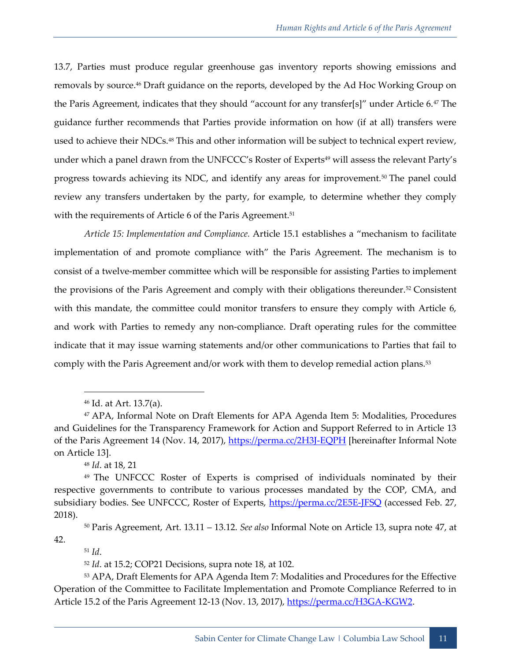<span id="page-18-0"></span>13.7, Parties must produce regular greenhouse gas inventory reports showing emissions and removals by source.<sup>46</sup> Draft guidance on the reports, developed by the Ad Hoc Working Group on the Paris Agreement, indicates that they should "account for any transfer[s]" under Article 6.<sup>47</sup> The guidance further recommends that Parties provide information on how (if at all) transfers were used to achieve their NDCs.<sup>48</sup> This and other information will be subject to technical expert review, under which a panel drawn from the UNFCCC's Roster of Experts<sup>49</sup> will assess the relevant Party's progress towards achieving its NDC, and identify any areas for improvement.<sup>50</sup> The panel could review any transfers undertaken by the party, for example, to determine whether they comply with the requirements of Article 6 of the Paris Agreement.<sup>51</sup>

*Article 15: Implementation and Compliance.* Article 15.1 establishes a "mechanism to facilitate implementation of and promote compliance with" the Paris Agreement. The mechanism is to consist of a twelve-member committee which will be responsible for assisting Parties to implement the provisions of the Paris Agreement and comply with their obligations thereunder.<sup>52</sup> Consistent with this mandate, the committee could monitor transfers to ensure they comply with Article 6, and work with Parties to remedy any non-compliance. Draft operating rules for the committee indicate that it may issue warning statements and/or other communications to Parties that fail to comply with the Paris Agreement and/or work with them to develop remedial action plans.<sup>53</sup>

<sup>48</sup> *Id*. at 18, 21

<sup>51</sup> *Id*.

<sup>52</sup> *Id*. at 15.2; COP21 Decisions, supra note [18,](#page-12-0) at 102.

<sup>53</sup> APA, Draft Elements for APA Agenda Item 7: Modalities and Procedures for the Effective Operation of the Committee to Facilitate Implementation and Promote Compliance Referred to in Article 15.2 of the Paris Agreement 12-13 (Nov. 13, 2017), [https://perma.cc/H3GA-KGW2.](https://perma.cc/H3GA-KGW2)

<sup>46</sup> Id. at Art. 13.7(a).

<sup>47</sup> APA, Informal Note on Draft Elements for APA Agenda Item 5: Modalities, Procedures and Guidelines for the Transparency Framework for Action and Support Referred to in Article 13 of the Paris Agreement 14 (Nov. 14, 2017),<https://perma.cc/2H3J-EQPH> [hereinafter Informal Note on Article 13].

<sup>49</sup> The UNFCCC Roster of Experts is comprised of individuals nominated by their respective governments to contribute to various processes mandated by the COP, CMA, and subsidiary bodies. See UNFCCC, Roster of Experts,<https://perma.cc/2E5E-JFSQ> (accessed Feb. 27, 2018).

<sup>50</sup> Paris Agreement, Art. 13.11 – 13.12. *See also* Informal Note on Article 13, supra note [47,](#page-18-0) at 42.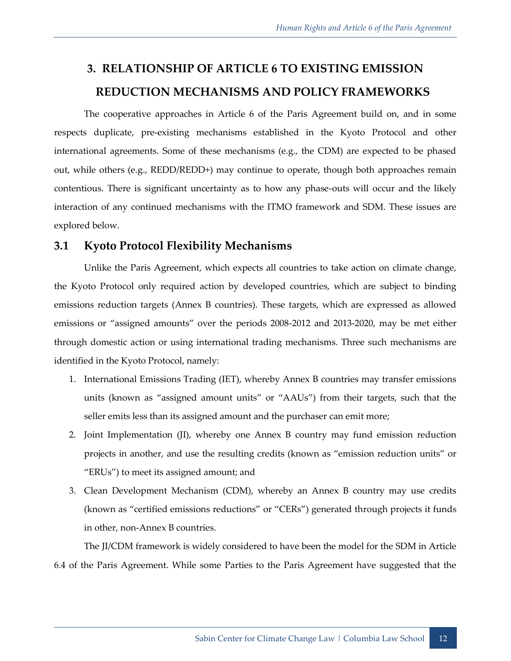## <span id="page-19-0"></span>**3. RELATIONSHIP OF ARTICLE 6 TO EXISTING EMISSION REDUCTION MECHANISMS AND POLICY FRAMEWORKS**

The cooperative approaches in Article 6 of the Paris Agreement build on, and in some respects duplicate, pre-existing mechanisms established in the Kyoto Protocol and other international agreements. Some of these mechanisms (e.g., the CDM) are expected to be phased out, while others (e.g., REDD/REDD+) may continue to operate, though both approaches remain contentious. There is significant uncertainty as to how any phase-outs will occur and the likely interaction of any continued mechanisms with the ITMO framework and SDM. These issues are explored below.

#### <span id="page-19-1"></span>**3.1 Kyoto Protocol Flexibility Mechanisms**

Unlike the Paris Agreement, which expects all countries to take action on climate change, the Kyoto Protocol only required action by developed countries, which are subject to binding emissions reduction targets (Annex B countries). These targets, which are expressed as allowed emissions or "assigned amounts" over the periods 2008-2012 and 2013-2020, may be met either through domestic action or using international trading mechanisms. Three such mechanisms are identified in the Kyoto Protocol, namely:

- 1. International Emissions Trading (IET), whereby Annex B countries may transfer emissions units (known as "assigned amount units" or "AAUs") from their targets, such that the seller emits less than its assigned amount and the purchaser can emit more;
- 2. Joint Implementation (JI), whereby one Annex B country may fund emission reduction projects in another, and use the resulting credits (known as "emission reduction units" or "ERUs") to meet its assigned amount; and
- 3. Clean Development Mechanism (CDM), whereby an Annex B country may use credits (known as "certified emissions reductions" or "CERs") generated through projects it funds in other, non-Annex B countries.

The JI/CDM framework is widely considered to have been the model for the SDM in Article 6.4 of the Paris Agreement. While some Parties to the Paris Agreement have suggested that the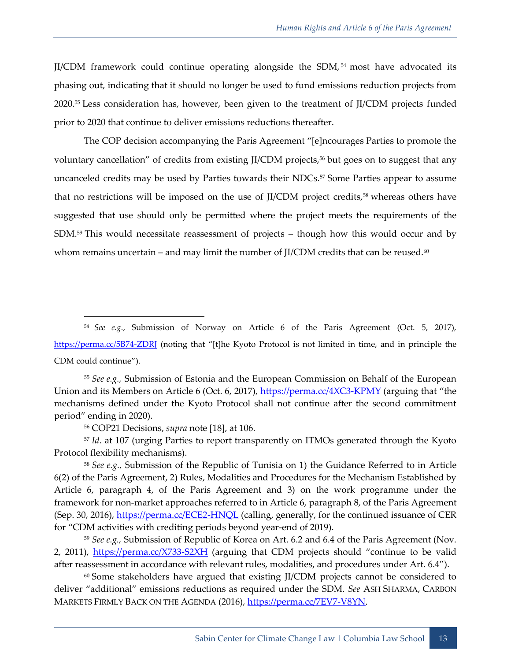JI/CDM framework could continue operating alongside the SDM, <sup>54</sup> most have advocated its phasing out, indicating that it should no longer be used to fund emissions reduction projects from 2020.<sup>55</sup> Less consideration has, however, been given to the treatment of JI/CDM projects funded prior to 2020 that continue to deliver emissions reductions thereafter.

The COP decision accompanying the Paris Agreement "[e]ncourages Parties to promote the voluntary cancellation" of credits from existing JI/CDM projects,<sup>56</sup> but goes on to suggest that any uncanceled credits may be used by Parties towards their NDCs.<sup>57</sup> Some Parties appear to assume that no restrictions will be imposed on the use of JI/CDM project credits,<sup>58</sup> whereas others have suggested that use should only be permitted where the project meets the requirements of the SDM.<sup>59</sup> This would necessitate reassessment of projects – though how this would occur and by whom remains uncertain – and may limit the number of JI/CDM credits that can be reused. $60$ 

<sup>54</sup> *See e.g.,* Submission of Norway on Article 6 of the Paris Agreement (Oct. 5, 2017), https://perma.cc/5B74-ZDRI (noting that "[t]he Kyoto Protocol is not limited in time, and in principle the CDM could continue").

<sup>55</sup> *See e.g.,* Submission of Estonia and the European Commission on Behalf of the European Union and its Members on Article 6 (Oct. 6, 2017),<https://perma.cc/4XC3-KPMY> (arguing that "the mechanisms defined under the Kyoto Protocol shall not continue after the second commitment period" ending in 2020).

<sup>56</sup> COP21 Decisions, *supra* note [\[18\]](#page-12-0), at 106.

<sup>57</sup> *Id*. at 107 (urging Parties to report transparently on ITMOs generated through the Kyoto Protocol flexibility mechanisms).

<sup>58</sup> *See e.g.,* Submission of the Republic of Tunisia on 1) the Guidance Referred to in Article 6(2) of the Paris Agreement, 2) Rules, Modalities and Procedures for the Mechanism Established by Article 6, paragraph 4, of the Paris Agreement and 3) on the work programme under the framework for non-market approaches referred to in Article 6, paragraph 8, of the Paris Agreement (Sep. 30, 2016),<https://perma.cc/ECE2-HNQL> (calling, generally, for the continued issuance of CER for "CDM activities with crediting periods beyond year-end of 2019).

<sup>59</sup> *See e.g.,* Submission of Republic of Korea on Art. 6.2 and 6.4 of the Paris Agreement (Nov. 2, 2011), <https://perma.cc/X733-S2XH> (arguing that CDM projects should "continue to be valid after reassessment in accordance with relevant rules, modalities, and procedures under Art. 6.4").

<sup>60</sup> Some stakeholders have argued that existing JI/CDM projects cannot be considered to deliver "additional" emissions reductions as required under the SDM. *See* ASH SHARMA, CARBON MARKETS FIRMLY BACK ON THE AGENDA (2016), [https://perma.cc/7EV7-V8YN.](https://perma.cc/7EV7-V8YN)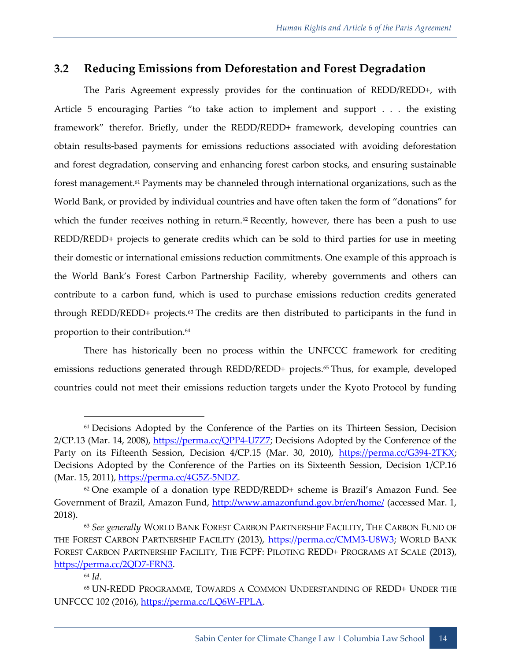#### <span id="page-21-0"></span>**3.2 Reducing Emissions from Deforestation and Forest Degradation**

The Paris Agreement expressly provides for the continuation of REDD/REDD+, with Article 5 encouraging Parties "to take action to implement and support . . . the existing framework" therefor. Briefly, under the REDD/REDD+ framework, developing countries can obtain results-based payments for emissions reductions associated with avoiding deforestation and forest degradation, conserving and enhancing forest carbon stocks, and ensuring sustainable forest management.<sup>61</sup> Payments may be channeled through international organizations, such as the World Bank, or provided by individual countries and have often taken the form of "donations" for which the funder receives nothing in return.<sup>62</sup> Recently, however, there has been a push to use REDD/REDD+ projects to generate credits which can be sold to third parties for use in meeting their domestic or international emissions reduction commitments. One example of this approach is the World Bank's Forest Carbon Partnership Facility, whereby governments and others can contribute to a carbon fund, which is used to purchase emissions reduction credits generated through REDD/REDD+ projects.<sup>63</sup> The credits are then distributed to participants in the fund in proportion to their contribution.<sup>64</sup>

There has historically been no process within the UNFCCC framework for crediting emissions reductions generated through REDD/REDD+ projects.<sup>65</sup> Thus, for example, developed countries could not meet their emissions reduction targets under the Kyoto Protocol by funding

<sup>&</sup>lt;sup>61</sup> Decisions Adopted by the Conference of the Parties on its Thirteen Session, Decision 2/CP.13 (Mar. 14, 2008), [https://perma.cc/QPP4-U7Z7;](https://perma.cc/QPP4-U7Z7) Decisions Adopted by the Conference of the Party on its Fifteenth Session, Decision 4/CP.15 (Mar. 30, 2010), [https://perma.cc/G394-2TKX;](https://perma.cc/G394-2TKX) Decisions Adopted by the Conference of the Parties on its Sixteenth Session, Decision 1/CP.16 (Mar. 15, 2011), [https://perma.cc/4G5Z-5NDZ.](https://perma.cc/4G5Z-5NDZ)

 $62$  One example of a donation type REDD/REDD+ scheme is Brazil's Amazon Fund. See Government of Brazil, Amazon Fund,<http://www.amazonfund.gov.br/en/home/> (accessed Mar. 1, 2018).

<sup>63</sup> *See generally* WORLD BANK FOREST CARBON PARTNERSHIP FACILITY, THE CARBON FUND OF THE FOREST CARBON PARTNERSHIP FACILITY (2013), [https://perma.cc/CMM3-U8W3;](https://perma.cc/CMM3-U8W3) WORLD BANK FOREST CARBON PARTNERSHIP FACILITY, THE FCPF: PILOTING REDD+ PROGRAMS AT SCALE (2013), [https://perma.cc/2QD7-FRN3.](https://perma.cc/2QD7-FRN3)

<sup>64</sup> *Id*.

<sup>65</sup> UN-REDD PROGRAMME, TOWARDS A COMMON UNDERSTANDING OF REDD+ UNDER THE UNFCCC 102 (2016), [https://perma.cc/LQ6W-FPLA.](https://perma.cc/LQ6W-FPLA)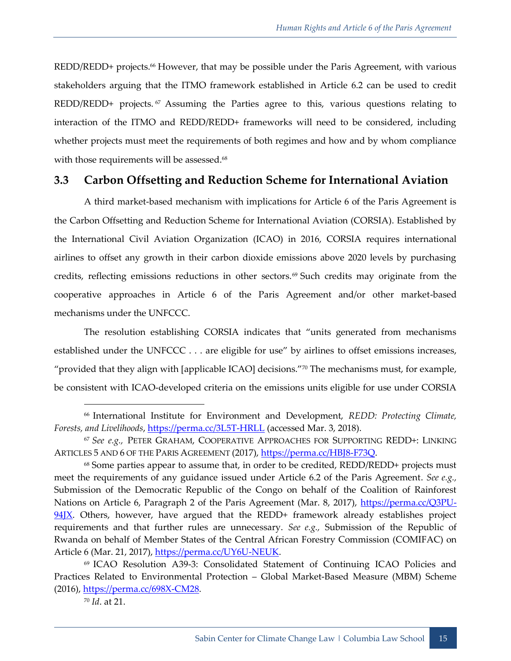REDD/REDD+ projects.<sup>66</sup> However, that may be possible under the Paris Agreement, with various stakeholders arguing that the ITMO framework established in Article 6.2 can be used to credit REDD/REDD+ projects. <sup>67</sup> Assuming the Parties agree to this, various questions relating to interaction of the ITMO and REDD/REDD+ frameworks will need to be considered, including whether projects must meet the requirements of both regimes and how and by whom compliance with those requirements will be assessed.<sup>68</sup>

#### <span id="page-22-0"></span>**3.3 Carbon Offsetting and Reduction Scheme for International Aviation**

A third market-based mechanism with implications for Article 6 of the Paris Agreement is the Carbon Offsetting and Reduction Scheme for International Aviation (CORSIA). Established by the International Civil Aviation Organization (ICAO) in 2016, CORSIA requires international airlines to offset any growth in their carbon dioxide emissions above 2020 levels by purchasing credits, reflecting emissions reductions in other sectors.<sup>69</sup> Such credits may originate from the cooperative approaches in Article 6 of the Paris Agreement and/or other market-based mechanisms under the UNFCCC.

The resolution establishing CORSIA indicates that "units generated from mechanisms established under the UNFCCC . . . are eligible for use" by airlines to offset emissions increases, "provided that they align with [applicable ICAO] decisions."<sup>70</sup> The mechanisms must, for example, be consistent with ICAO-developed criteria on the emissions units eligible for use under CORSIA

<sup>70</sup> *Id*. at 21.

<sup>66</sup> International Institute for Environment and Development, *REDD: Protecting Climate, Forests, and Livelihoods*,<https://perma.cc/3L5T-HRLL> (accessed Mar. 3, 2018).

<sup>67</sup> *See e.g.,* PETER GRAHAM, COOPERATIVE APPROACHES FOR SUPPORTING REDD+: LINKING ARTICLES 5 AND 6 OF THE PARIS AGREEMENT (2017)[, https://perma.cc/HBJ8-F73Q.](https://perma.cc/HBJ8-F73Q)

<sup>68</sup> Some parties appear to assume that, in order to be credited, REDD/REDD+ projects must meet the requirements of any guidance issued under Article 6.2 of the Paris Agreement. *See e.g.,* Submission of the Democratic Republic of the Congo on behalf of the Coalition of Rainforest Nations on Article 6, Paragraph 2 of the Paris Agreement (Mar. 8, 2017), [https://perma.cc/Q3PU-](https://perma.cc/Q3PU-94JX) $94\overline{X}$ . Others, however, have argued that the REDD+ framework already establishes project requirements and that further rules are unnecessary. *See e.g.,* Submission of the Republic of Rwanda on behalf of Member States of the Central African Forestry Commission (COMIFAC) on Article 6 (Mar. 21, 2017), [https://perma.cc/UY6U-NEUK.](https://perma.cc/UY6U-NEUK)

<sup>69</sup> ICAO Resolution A39-3: Consolidated Statement of Continuing ICAO Policies and Practices Related to Environmental Protection – Global Market-Based Measure (MBM) Scheme (2016), [https://perma.cc/698X-CM28.](https://perma.cc/698X-CM28)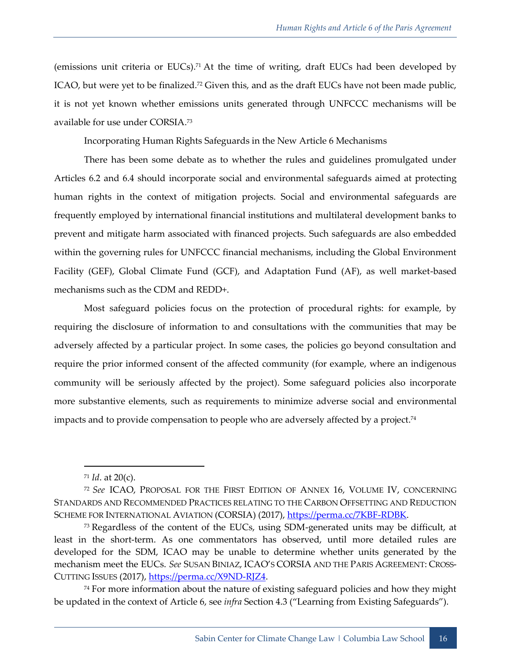(emissions unit criteria or EUCs). <sup>71</sup> At the time of writing, draft EUCs had been developed by ICAO, but were yet to be finalized.<sup>72</sup> Given this, and as the draft EUCs have not been made public, it is not yet known whether emissions units generated through UNFCCC mechanisms will be available for use under CORSIA.<sup>73</sup>

Incorporating Human Rights Safeguards in the New Article 6 Mechanisms

There has been some debate as to whether the rules and guidelines promulgated under Articles 6.2 and 6.4 should incorporate social and environmental safeguards aimed at protecting human rights in the context of mitigation projects. Social and environmental safeguards are frequently employed by international financial institutions and multilateral development banks to prevent and mitigate harm associated with financed projects. Such safeguards are also embedded within the governing rules for UNFCCC financial mechanisms, including the Global Environment Facility (GEF), Global Climate Fund (GCF), and Adaptation Fund (AF), as well market-based mechanisms such as the CDM and REDD+.

Most safeguard policies focus on the protection of procedural rights: for example, by requiring the disclosure of information to and consultations with the communities that may be adversely affected by a particular project. In some cases, the policies go beyond consultation and require the prior informed consent of the affected community (for example, where an indigenous community will be seriously affected by the project). Some safeguard policies also incorporate more substantive elements, such as requirements to minimize adverse social and environmental impacts and to provide compensation to people who are adversely affected by a project. 74

<sup>71</sup> *Id*. at 20(c).

<sup>72</sup> *See* ICAO, PROPOSAL FOR THE FIRST EDITION OF ANNEX 16, VOLUME IV, CONCERNING STANDARDS AND RECOMMENDED PRACTICES RELATING TO THE CARBON OFFSETTING AND REDUCTION SCHEME FOR INTERNATIONAL AVIATION (CORSIA) (2017), [https://perma.cc/7KBF-RDBK.](https://perma.cc/7KBF-RDBK)

<sup>&</sup>lt;sup>73</sup> Regardless of the content of the EUCs, using SDM-generated units may be difficult, at least in the short-term. As one commentators has observed, until more detailed rules are developed for the SDM, ICAO may be unable to determine whether units generated by the mechanism meet the EUCs. *See* SUSAN BINIAZ, ICAO'S CORSIA AND THE PARIS AGREEMENT: CROSS-CUTTING ISSUES (2017), [https://perma.cc/X9ND-RJZ4.](https://perma.cc/X9ND-RJZ4)

 $74$  For more information about the nature of existing safeguard policies and how they might be updated in the context of Article 6, see *infra* Section 4.3 ("Learning from Existing Safeguards").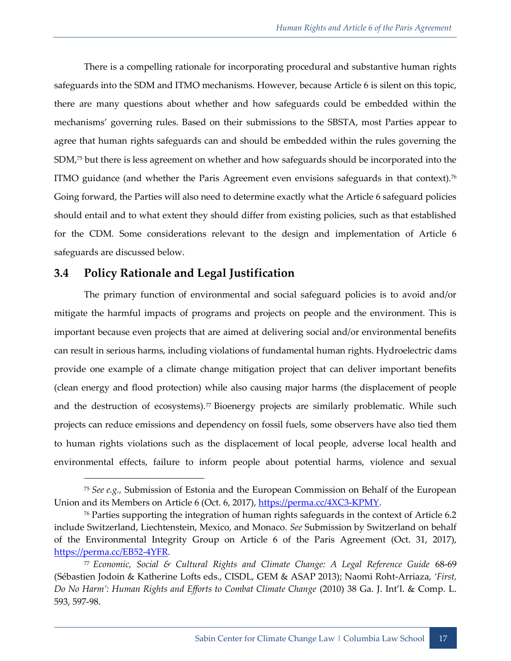There is a compelling rationale for incorporating procedural and substantive human rights safeguards into the SDM and ITMO mechanisms. However, because Article 6 is silent on this topic, there are many questions about whether and how safeguards could be embedded within the mechanisms' governing rules. Based on their submissions to the SBSTA, most Parties appear to agree that human rights safeguards can and should be embedded within the rules governing the SDM,<sup>75</sup> but there is less agreement on whether and how safeguards should be incorporated into the ITMO guidance (and whether the Paris Agreement even envisions safeguards in that context).<sup>76</sup> Going forward, the Parties will also need to determine exactly what the Article 6 safeguard policies should entail and to what extent they should differ from existing policies, such as that established for the CDM. Some considerations relevant to the design and implementation of Article 6 safeguards are discussed below.

#### <span id="page-24-0"></span>**3.4 Policy Rationale and Legal Justification**

The primary function of environmental and social safeguard policies is to avoid and/or mitigate the harmful impacts of programs and projects on people and the environment. This is important because even projects that are aimed at delivering social and/or environmental benefits can result in serious harms, including violations of fundamental human rights. Hydroelectric dams provide one example of a climate change mitigation project that can deliver important benefits (clean energy and flood protection) while also causing major harms (the displacement of people and the destruction of ecosystems).<sup>77</sup> Bioenergy projects are similarly problematic. While such projects can reduce emissions and dependency on fossil fuels, some observers have also tied them to human rights violations such as the displacement of local people, adverse local health and environmental effects, failure to inform people about potential harms, violence and sexual

<sup>75</sup> *See e.g.,* Submission of Estonia and the European Commission on Behalf of the European Union and its Members on Article 6 (Oct. 6, 2017), [https://perma.cc/4XC3-KPMY.](https://perma.cc/4XC3-KPMY)

<sup>76</sup> Parties supporting the integration of human rights safeguards in the context of Article 6.2 include Switzerland, Liechtenstein, Mexico, and Monaco. *See* Submission by Switzerland on behalf of the Environmental Integrity Group on Article 6 of the Paris Agreement (Oct. 31, 2017), [https://perma.cc/EB52-4YFR.](https://perma.cc/EB52-4YFR)

<sup>77</sup> *Economic, Social & Cultural Rights and Climate Change: A Legal Reference Guide* 68-69 (Sébastien Jodoin & Katherine Lofts eds., CISDL, GEM & ASAP 2013); Naomi Roht-Arriaza, *'First, Do No Harm': Human Rights and Efforts to Combat Climate Change* (2010) 38 Ga. J. Int'l. & Comp. L. 593, 597-98.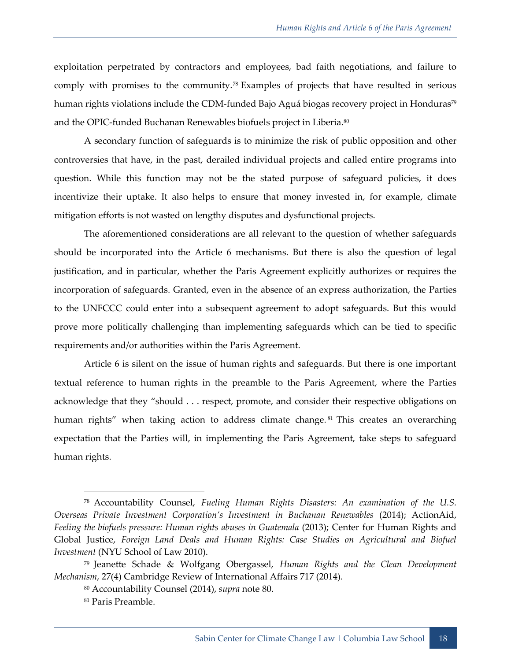exploitation perpetrated by contractors and employees, bad faith negotiations, and failure to comply with promises to the community.<sup>78</sup> Examples of projects that have resulted in serious human rights violations include the CDM-funded Bajo Aguá biogas recovery project in Honduras<sup>79</sup> and the OPIC-funded Buchanan Renewables biofuels project in Liberia.<sup>80</sup>

A secondary function of safeguards is to minimize the risk of public opposition and other controversies that have, in the past, derailed individual projects and called entire programs into question. While this function may not be the stated purpose of safeguard policies, it does incentivize their uptake. It also helps to ensure that money invested in, for example, climate mitigation efforts is not wasted on lengthy disputes and dysfunctional projects.

The aforementioned considerations are all relevant to the question of whether safeguards should be incorporated into the Article 6 mechanisms. But there is also the question of legal justification, and in particular, whether the Paris Agreement explicitly authorizes or requires the incorporation of safeguards. Granted, even in the absence of an express authorization, the Parties to the UNFCCC could enter into a subsequent agreement to adopt safeguards. But this would prove more politically challenging than implementing safeguards which can be tied to specific requirements and/or authorities within the Paris Agreement.

Article 6 is silent on the issue of human rights and safeguards. But there is one important textual reference to human rights in the preamble to the Paris Agreement, where the Parties acknowledge that they "should . . . respect, promote, and consider their respective obligations on human rights" when taking action to address climate change.<sup>81</sup> This creates an overarching expectation that the Parties will, in implementing the Paris Agreement, take steps to safeguard human rights.

<sup>78</sup> Accountability Counsel, *Fueling Human Rights Disasters: An examination of the U.S. Overseas Private Investment Corporation's Investment in Buchanan Renewables* (2014); ActionAid, Feeling the biofuels pressure: Human rights abuses in Guatemala (2013); Center for Human Rights and Global Justice, *Foreign Land Deals and Human Rights: Case Studies on Agricultural and Biofuel Investment* (NYU School of Law 2010).

<sup>79</sup> Jeanette Schade & Wolfgang Obergassel, *Human Rights and the Clean Development Mechanism*, 27(4) Cambridge Review of International Affairs 717 (2014).

<sup>80</sup> Accountability Counsel (2014), *supra* note 80.

<sup>81</sup> Paris Preamble.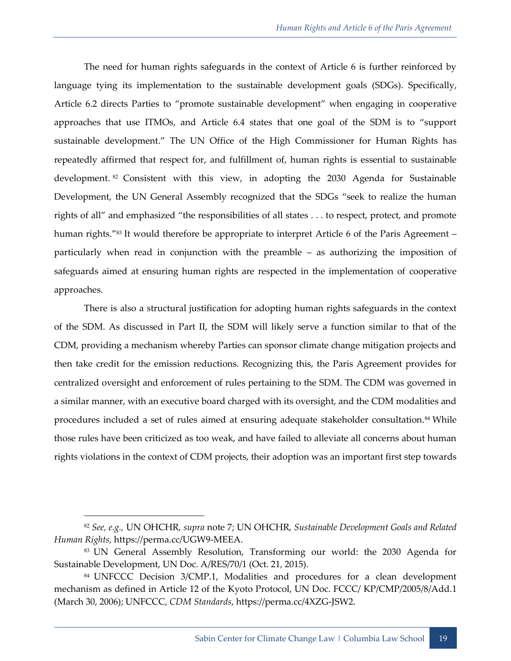The need for human rights safeguards in the context of Article 6 is further reinforced by language tying its implementation to the sustainable development goals (SDGs). Specifically, Article 6.2 directs Parties to "promote sustainable development" when engaging in cooperative approaches that use ITMOs, and Article 6.4 states that one goal of the SDM is to "support sustainable development." The UN Office of the High Commissioner for Human Rights has repeatedly affirmed that respect for, and fulfillment of, human rights is essential to sustainable development. <sup>82</sup> Consistent with this view, in adopting the 2030 Agenda for Sustainable Development, the UN General Assembly recognized that the SDGs "seek to realize the human rights of all" and emphasized "the responsibilities of all states . . . to respect, protect, and promote human rights."<sup>83</sup> It would therefore be appropriate to interpret Article 6 of the Paris Agreement – particularly when read in conjunction with the preamble – as authorizing the imposition of safeguards aimed at ensuring human rights are respected in the implementation of cooperative approaches.

There is also a structural justification for adopting human rights safeguards in the context of the SDM. As discussed in Part II, the SDM will likely serve a function similar to that of the CDM, providing a mechanism whereby Parties can sponsor climate change mitigation projects and then take credit for the emission reductions. Recognizing this, the Paris Agreement provides for centralized oversight and enforcement of rules pertaining to the SDM. The CDM was governed in a similar manner, with an executive board charged with its oversight, and the CDM modalities and procedures included a set of rules aimed at ensuring adequate stakeholder consultation.<sup>84</sup> While those rules have been criticized as too weak, and have failed to alleviate all concerns about human rights violations in the context of CDM projects, their adoption was an important first step towards

<sup>82</sup> *See, e.g.,* UN OHCHR, *supra* note [7;](#page-9-0) UN OHCHR, *Sustainable Development Goals and Related Human Rights,* https://perma.cc/UGW9-MEEA.

<sup>83</sup> UN General Assembly Resolution, Transforming our world: the 2030 Agenda for Sustainable Development, UN Doc. A/RES/70/1 (Oct. 21, 2015).

<sup>84</sup> UNFCCC Decision 3/CMP.1, Modalities and procedures for a clean development mechanism as defined in Article 12 of the Kyoto Protocol, UN Doc. FCCC/ KP/CMP/2005/8/Add.1 (March 30, 2006); UNFCCC, *CDM Standards*, https://perma.cc/4XZG-JSW2.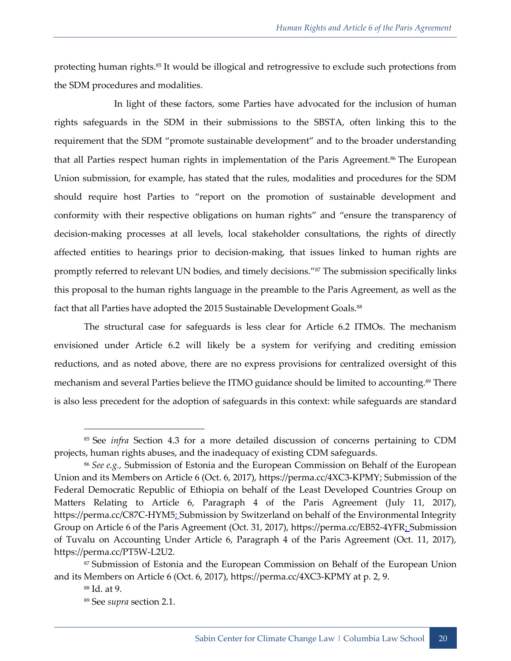protecting human rights.<sup>85</sup> It would be illogical and retrogressive to exclude such protections from the SDM procedures and modalities.

In light of these factors, some Parties have advocated for the inclusion of human rights safeguards in the SDM in their submissions to the SBSTA, often linking this to the requirement that the SDM "promote sustainable development" and to the broader understanding that all Parties respect human rights in implementation of the Paris Agreement.<sup>86</sup> The European Union submission, for example, has stated that the rules, modalities and procedures for the SDM should require host Parties to "report on the promotion of sustainable development and conformity with their respective obligations on human rights" and "ensure the transparency of decision-making processes at all levels, local stakeholder consultations, the rights of directly affected entities to hearings prior to decision-making, that issues linked to human rights are promptly referred to relevant UN bodies, and timely decisions."<sup>87</sup> The submission specifically links this proposal to the human rights language in the preamble to the Paris Agreement, as well as the fact that all Parties have adopted the 2015 Sustainable Development Goals.<sup>88</sup>

The structural case for safeguards is less clear for Article 6.2 ITMOs. The mechanism envisioned under Article 6.2 will likely be a system for verifying and crediting emission reductions, and as noted above, there are no express provisions for centralized oversight of this mechanism and several Parties believe the ITMO guidance should be limited to accounting.<sup>89</sup> There is also less precedent for the adoption of safeguards in this context: while safeguards are standard

<sup>85</sup> See *infra* Section 4.3 for a more detailed discussion of concerns pertaining to CDM projects, human rights abuses, and the inadequacy of existing CDM safeguards.

<sup>86</sup> *See e.g.,* Submission of Estonia and the European Commission on Behalf of the European Union and its Members on Article 6 (Oct. 6, 2017), https://perma.cc/4XC3-KPMY; Submission of the Federal Democratic Republic of Ethiopia on behalf of the Least Developed Countries Group on Matters Relating to Article 6, Paragraph 4 of the Paris Agreement (July 11, 2017), https://perma.cc/C87C-HYM5: Submission by Switzerland on behalf of the Environmental Integrity Group on Article 6 of the Paris Agreement (Oct. 31, 2017), https://perma.cc/EB52-4YFR: Submission of Tuvalu on Accounting Under Article 6, Paragraph 4 of the Paris Agreement (Oct. 11, 2017), https://perma.cc/PT5W-L2U2.

<sup>87</sup> Submission of Estonia and the European Commission on Behalf of the European Union and its Members on Article 6 (Oct. 6, 2017), https://perma.cc/4XC3-KPMY at p. 2, 9.

<sup>88</sup> Id. at 9.

<sup>89</sup> See *supra* section 2.1.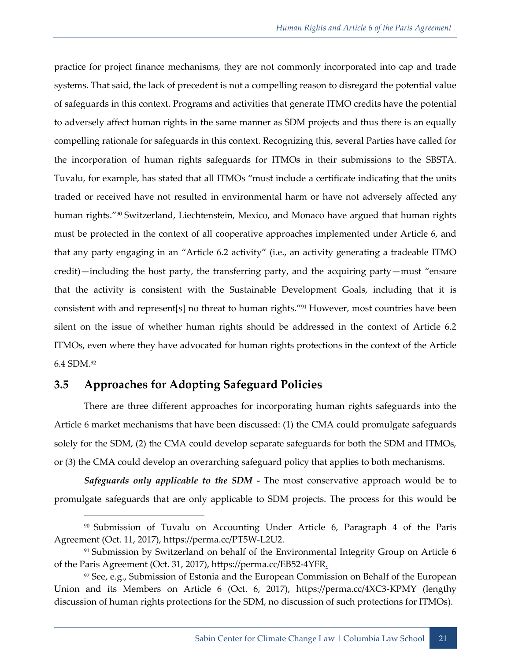practice for project finance mechanisms, they are not commonly incorporated into cap and trade systems. That said, the lack of precedent is not a compelling reason to disregard the potential value of safeguards in this context. Programs and activities that generate ITMO credits have the potential to adversely affect human rights in the same manner as SDM projects and thus there is an equally compelling rationale for safeguards in this context. Recognizing this, several Parties have called for the incorporation of human rights safeguards for ITMOs in their submissions to the SBSTA. Tuvalu, for example, has stated that all ITMOs "must include a certificate indicating that the units traded or received have not resulted in environmental harm or have not adversely affected any human rights."<sup>90</sup> Switzerland, Liechtenstein, Mexico, and Monaco have argued that human rights must be protected in the context of all cooperative approaches implemented under Article 6, and that any party engaging in an "Article 6.2 activity" (i.e., an activity generating a tradeable ITMO credit)—including the host party, the transferring party, and the acquiring party—must "ensure that the activity is consistent with the Sustainable Development Goals, including that it is consistent with and represent[s] no threat to human rights."<sup>91</sup> However, most countries have been silent on the issue of whether human rights should be addressed in the context of Article 6.2 ITMOs, even where they have advocated for human rights protections in the context of the Article 6.4 SDM.<sup>92</sup>

#### <span id="page-28-0"></span>**3.5 Approaches for Adopting Safeguard Policies**

-

There are three different approaches for incorporating human rights safeguards into the Article 6 market mechanisms that have been discussed: (1) the CMA could promulgate safeguards solely for the SDM, (2) the CMA could develop separate safeguards for both the SDM and ITMOs, or (3) the CMA could develop an overarching safeguard policy that applies to both mechanisms.

*Safeguards only applicable to the SDM -* The most conservative approach would be to promulgate safeguards that are only applicable to SDM projects. The process for this would be

<sup>90</sup> Submission of Tuvalu on Accounting Under Article 6, Paragraph 4 of the Paris Agreement (Oct. 11, 2017), https://perma.cc/PT5W-L2U2.

<sup>&</sup>lt;sup>91</sup> Submission by Switzerland on behalf of the Environmental Integrity Group on Article 6 of the Paris Agreement (Oct. 31, 2017), https://perma.cc/EB52-4YFR.

<sup>&</sup>lt;sup>92</sup> See, e.g., Submission of Estonia and the European Commission on Behalf of the European Union and its Members on Article 6 (Oct. 6, 2017), https://perma.cc/4XC3-KPMY (lengthy discussion of human rights protections for the SDM, no discussion of such protections for ITMOs).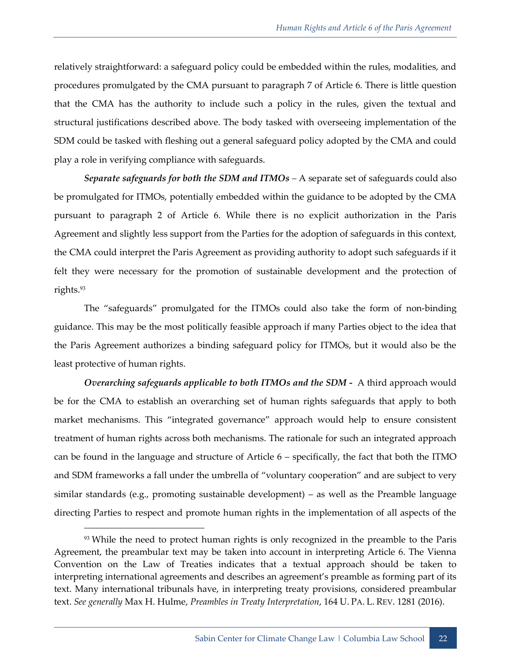relatively straightforward: a safeguard policy could be embedded within the rules, modalities, and procedures promulgated by the CMA pursuant to paragraph 7 of Article 6. There is little question that the CMA has the authority to include such a policy in the rules, given the textual and structural justifications described above. The body tasked with overseeing implementation of the SDM could be tasked with fleshing out a general safeguard policy adopted by the CMA and could play a role in verifying compliance with safeguards.

*Separate safeguards for both the SDM and ITMOs –* A separate set of safeguards could also be promulgated for ITMOs, potentially embedded within the guidance to be adopted by the CMA pursuant to paragraph 2 of Article 6. While there is no explicit authorization in the Paris Agreement and slightly less support from the Parties for the adoption of safeguards in this context, the CMA could interpret the Paris Agreement as providing authority to adopt such safeguards if it felt they were necessary for the promotion of sustainable development and the protection of rights.<sup>93</sup>

The "safeguards" promulgated for the ITMOs could also take the form of non-binding guidance. This may be the most politically feasible approach if many Parties object to the idea that the Paris Agreement authorizes a binding safeguard policy for ITMOs, but it would also be the least protective of human rights.

*Overarching safeguards applicable to both ITMOs and the SDM -* A third approach would be for the CMA to establish an overarching set of human rights safeguards that apply to both market mechanisms. This "integrated governance" approach would help to ensure consistent treatment of human rights across both mechanisms. The rationale for such an integrated approach can be found in the language and structure of Article 6 – specifically, the fact that both the ITMO and SDM frameworks a fall under the umbrella of "voluntary cooperation" and are subject to very similar standards (e.g., promoting sustainable development) – as well as the Preamble language directing Parties to respect and promote human rights in the implementation of all aspects of the

<sup>&</sup>lt;sup>93</sup> While the need to protect human rights is only recognized in the preamble to the Paris Agreement, the preambular text may be taken into account in interpreting Article 6. The Vienna Convention on the Law of Treaties indicates that a textual approach should be taken to interpreting international agreements and describes an agreement's preamble as forming part of its text. Many international tribunals have, in interpreting treaty provisions, considered preambular text. *See generally* Max H. Hulme, *Preambles in Treaty Interpretation*, 164 U. PA. L. REV. 1281 (2016).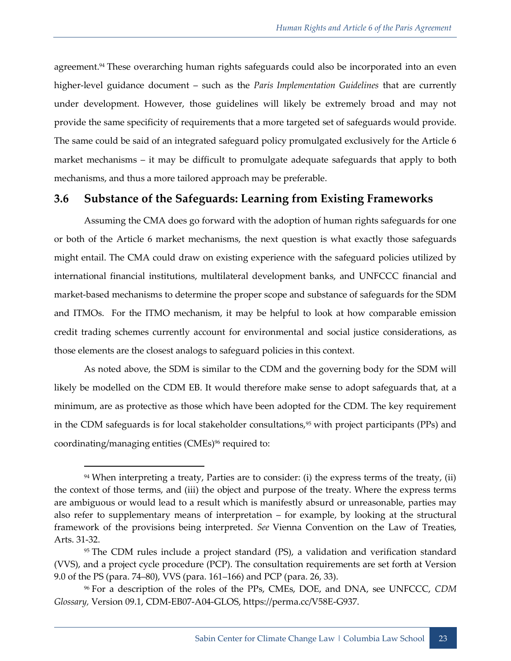agreement.<sup>94</sup> These overarching human rights safeguards could also be incorporated into an even higher-level guidance document – such as the *Paris Implementation Guidelines* that are currently under development. However, those guidelines will likely be extremely broad and may not provide the same specificity of requirements that a more targeted set of safeguards would provide. The same could be said of an integrated safeguard policy promulgated exclusively for the Article 6 market mechanisms – it may be difficult to promulgate adequate safeguards that apply to both mechanisms, and thus a more tailored approach may be preferable.

#### <span id="page-30-0"></span>**3.6 Substance of the Safeguards: Learning from Existing Frameworks**

Assuming the CMA does go forward with the adoption of human rights safeguards for one or both of the Article 6 market mechanisms, the next question is what exactly those safeguards might entail. The CMA could draw on existing experience with the safeguard policies utilized by international financial institutions, multilateral development banks, and UNFCCC financial and market-based mechanisms to determine the proper scope and substance of safeguards for the SDM and ITMOs. For the ITMO mechanism, it may be helpful to look at how comparable emission credit trading schemes currently account for environmental and social justice considerations, as those elements are the closest analogs to safeguard policies in this context.

As noted above, the SDM is similar to the CDM and the governing body for the SDM will likely be modelled on the CDM EB. It would therefore make sense to adopt safeguards that, at a minimum, are as protective as those which have been adopted for the CDM. The key requirement in the CDM safeguards is for local stakeholder consultations,<sup>95</sup> with project participants (PPs) and coordinating/managing entities (CMEs)<sup>96</sup> required to:

<sup>94</sup> When interpreting a treaty, Parties are to consider: (i) the express terms of the treaty, (ii) the context of those terms, and (iii) the object and purpose of the treaty. Where the express terms are ambiguous or would lead to a result which is manifestly absurd or unreasonable, parties may also refer to supplementary means of interpretation – for example, by looking at the structural framework of the provisions being interpreted. *See* Vienna Convention on the Law of Treaties, Arts. 31-32.

<sup>95</sup> The CDM rules include a project standard (PS), a validation and verification standard (VVS), and a project cycle procedure (PCP). The consultation requirements are set forth at Version 9.0 of the PS (para. 74–80), VVS (para. 161–166) and PCP (para. 26, 33).

<sup>96</sup> For a description of the roles of the PPs, CMEs, DOE, and DNA, see UNFCCC, *CDM Glossary,* Version 09.1, CDM-EB07-A04-GLOS, https://perma.cc/V58E-G937.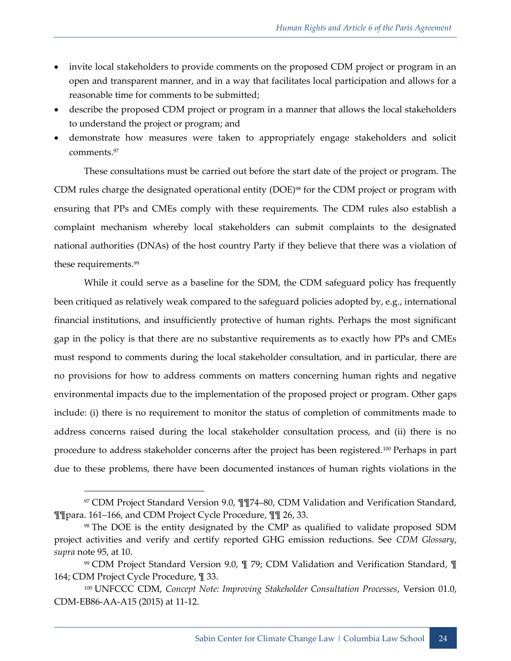- invite local stakeholders to provide comments on the proposed CDM project or program in an open and transparent manner, and in a way that facilitates local participation and allows for a reasonable time for comments to be submitted;
- describe the proposed CDM project or program in a manner that allows the local stakeholders to understand the project or program; and
- demonstrate how measures were taken to appropriately engage stakeholders and solicit comments.<sup>97</sup>

These consultations must be carried out before the start date of the project or program. The CDM rules charge the designated operational entity (DOE)<sup>98</sup> for the CDM project or program with ensuring that PPs and CMEs comply with these requirements. The CDM rules also establish a complaint mechanism whereby local stakeholders can submit complaints to the designated national authorities (DNAs) of the host country Party if they believe that there was a violation of these requirements.<sup>99</sup>

While it could serve as a baseline for the SDM, the CDM safeguard policy has frequently been critiqued as relatively weak compared to the safeguard policies adopted by, e.g., international financial institutions, and insufficiently protective of human rights. Perhaps the most significant gap in the policy is that there are no substantive requirements as to exactly how PPs and CMEs must respond to comments during the local stakeholder consultation, and in particular, there are no provisions for how to address comments on matters concerning human rights and negative environmental impacts due to the implementation of the proposed project or program. Other gaps include: (i) there is no requirement to monitor the status of completion of commitments made to address concerns raised during the local stakeholder consultation process, and (ii) there is no procedure to address stakeholder concerns after the project has been registered.<sup>100</sup> Perhaps in part due to these problems, there have been documented instances of human rights violations in the

<sup>97</sup> CDM Project Standard Version 9.0, ¶¶74–80, CDM Validation and Verification Standard, ¶¶para. 161–166, and CDM Project Cycle Procedure, ¶¶ 26, 33.

<sup>98</sup> The DOE is the entity designated by the CMP as qualified to validate proposed SDM project activities and verify and certify reported GHG emission reductions. See *CDM Glossary*, *supra* note 95, at 10.

<sup>99</sup> CDM Project Standard Version 9.0, ¶ 79; CDM Validation and Verification Standard, ¶ 164; CDM Project Cycle Procedure, ¶ 33.

<sup>100</sup> UNFCCC CDM, *Concept Note: Improving Stakeholder Consultation Processes*, Version 01.0, CDM-EB86-AA-A15 (2015) at 11-12.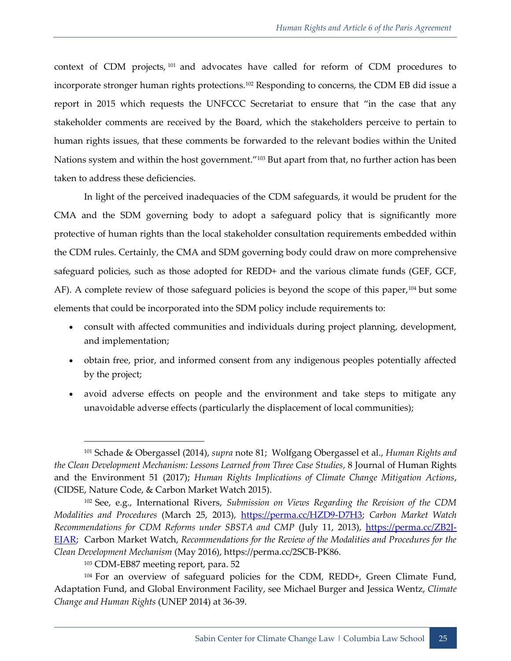context of CDM projects, <sup>101</sup> and advocates have called for reform of CDM procedures to incorporate stronger human rights protections.<sup>102</sup> Responding to concerns, the CDM EB did issue a report in 2015 which requests the UNFCCC Secretariat to ensure that "in the case that any stakeholder comments are received by the Board, which the stakeholders perceive to pertain to human rights issues, that these comments be forwarded to the relevant bodies within the United Nations system and within the host government."<sup>103</sup> But apart from that, no further action has been taken to address these deficiencies.

In light of the perceived inadequacies of the CDM safeguards, it would be prudent for the CMA and the SDM governing body to adopt a safeguard policy that is significantly more protective of human rights than the local stakeholder consultation requirements embedded within the CDM rules. Certainly, the CMA and SDM governing body could draw on more comprehensive safeguard policies, such as those adopted for REDD+ and the various climate funds (GEF, GCF, AF). A complete review of those safeguard policies is beyond the scope of this paper,<sup>104</sup> but some elements that could be incorporated into the SDM policy include requirements to:

- consult with affected communities and individuals during project planning, development, and implementation;
- obtain free, prior, and informed consent from any indigenous peoples potentially affected by the project;
- avoid adverse effects on people and the environment and take steps to mitigate any unavoidable adverse effects (particularly the displacement of local communities);

<sup>101</sup> Schade & Obergassel (2014), *supra* note 81; Wolfgang Obergassel et al., *Human Rights and the Clean Development Mechanism: Lessons Learned from Three Case Studies*, 8 Journal of Human Rights and the Environment 51 (2017); *Human Rights Implications of Climate Change Mitigation Actions*, (CIDSE, Nature Code, & Carbon Market Watch 2015).

<sup>102</sup> See, e.g., International Rivers, *Submission on Views Regarding the Revision of the CDM Modalities and Procedures* (March 25, 2013), [https://perma.cc/HZD9-D7H3;](https://perma.cc/HZD9-D7H3) *Carbon Market Watch*  Recommendations for CDM Reforms under SBSTA and CMP (July 11, 2013), [https://perma.cc/ZB2J-](https://perma.cc/ZB2J-EJAR)[EJAR;](https://perma.cc/ZB2J-EJAR) Carbon Market Watch, *Recommendations for the Review of the Modalities and Procedures for the Clean Development Mechanism* (May 2016), https://perma.cc/2SCB-PK86.

<sup>103</sup> CDM-EB87 meeting report, para. 52

<sup>&</sup>lt;sup>104</sup> For an overview of safeguard policies for the CDM, REDD+, Green Climate Fund, Adaptation Fund, and Global Environment Facility, see Michael Burger and Jessica Wentz, *Climate Change and Human Rights* (UNEP 2014) at 36-39.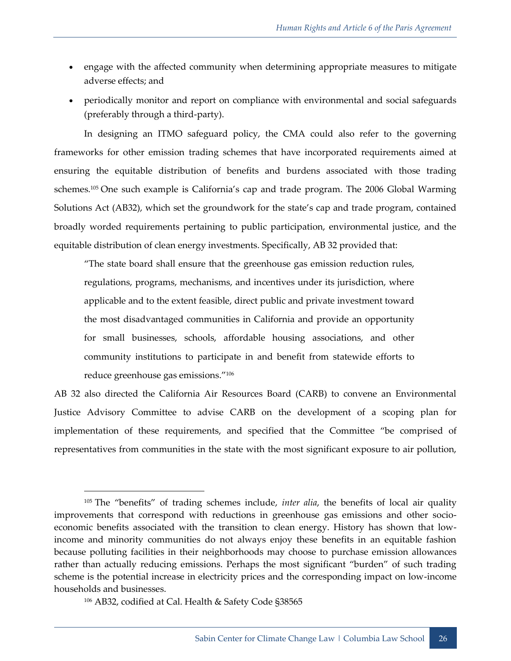- engage with the affected community when determining appropriate measures to mitigate adverse effects; and
- periodically monitor and report on compliance with environmental and social safeguards (preferably through a third-party).

In designing an ITMO safeguard policy, the CMA could also refer to the governing frameworks for other emission trading schemes that have incorporated requirements aimed at ensuring the equitable distribution of benefits and burdens associated with those trading schemes.<sup>105</sup> One such example is California's cap and trade program. The 2006 Global Warming Solutions Act (AB32), which set the groundwork for the state's cap and trade program, contained broadly worded requirements pertaining to public participation, environmental justice, and the equitable distribution of clean energy investments. Specifically, AB 32 provided that:

"The state board shall ensure that the greenhouse gas emission reduction rules, regulations, programs, mechanisms, and incentives under its jurisdiction, where applicable and to the extent feasible, direct public and private investment toward the most disadvantaged communities in California and provide an opportunity for small businesses, schools, affordable housing associations, and other community institutions to participate in and benefit from statewide efforts to reduce greenhouse gas emissions."<sup>106</sup>

AB 32 also directed the California Air Resources Board (CARB) to convene an Environmental Justice Advisory Committee to advise CARB on the development of a scoping plan for implementation of these requirements, and specified that the Committee "be comprised of representatives from communities in the state with the most significant exposure to air pollution,

<sup>105</sup> The "benefits" of trading schemes include, *inter alia*, the benefits of local air quality improvements that correspond with reductions in greenhouse gas emissions and other socioeconomic benefits associated with the transition to clean energy. History has shown that lowincome and minority communities do not always enjoy these benefits in an equitable fashion because polluting facilities in their neighborhoods may choose to purchase emission allowances rather than actually reducing emissions. Perhaps the most significant "burden" of such trading scheme is the potential increase in electricity prices and the corresponding impact on low-income households and businesses.

<sup>106</sup> AB32, codified at Cal. Health & Safety Code §38565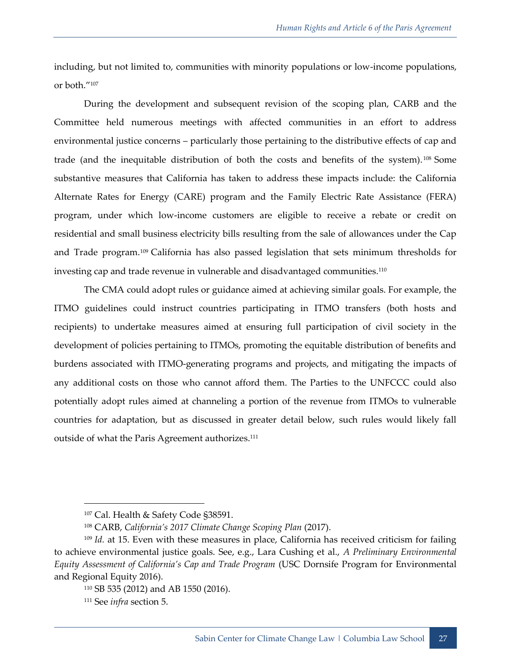including, but not limited to, communities with minority populations or low-income populations, or both."<sup>107</sup>

During the development and subsequent revision of the scoping plan, CARB and the Committee held numerous meetings with affected communities in an effort to address environmental justice concerns – particularly those pertaining to the distributive effects of cap and trade (and the inequitable distribution of both the costs and benefits of the system). <sup>108</sup> Some substantive measures that California has taken to address these impacts include: the California Alternate Rates for Energy (CARE) program and the Family Electric Rate Assistance (FERA) program, under which low-income customers are eligible to receive a rebate or credit on residential and small business electricity bills resulting from the sale of allowances under the Cap and Trade program.<sup>109</sup> California has also passed legislation that sets minimum thresholds for investing cap and trade revenue in vulnerable and disadvantaged communities.<sup>110</sup>

The CMA could adopt rules or guidance aimed at achieving similar goals. For example, the ITMO guidelines could instruct countries participating in ITMO transfers (both hosts and recipients) to undertake measures aimed at ensuring full participation of civil society in the development of policies pertaining to ITMOs, promoting the equitable distribution of benefits and burdens associated with ITMO-generating programs and projects, and mitigating the impacts of any additional costs on those who cannot afford them. The Parties to the UNFCCC could also potentially adopt rules aimed at channeling a portion of the revenue from ITMOs to vulnerable countries for adaptation, but as discussed in greater detail below, such rules would likely fall outside of what the Paris Agreement authorizes.<sup>111</sup>

<sup>107</sup> Cal. Health & Safety Code §38591.

<sup>108</sup> CARB, *California's 2017 Climate Change Scoping Plan* (2017).

<sup>109</sup> *Id.* at 15. Even with these measures in place, California has received criticism for failing to achieve environmental justice goals. See, e.g., Lara Cushing et al., *A Preliminary Environmental Equity Assessment of California's Cap and Trade Program* (USC Dornsife Program for Environmental and Regional Equity 2016).

<sup>110</sup> SB 535 (2012) and AB 1550 (2016).

<sup>111</sup> See *infra* section 5.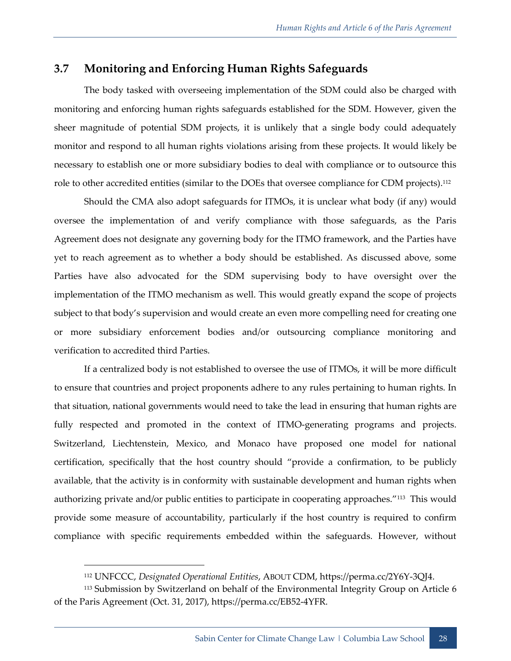#### <span id="page-35-0"></span>**3.7 Monitoring and Enforcing Human Rights Safeguards**

The body tasked with overseeing implementation of the SDM could also be charged with monitoring and enforcing human rights safeguards established for the SDM. However, given the sheer magnitude of potential SDM projects, it is unlikely that a single body could adequately monitor and respond to all human rights violations arising from these projects. It would likely be necessary to establish one or more subsidiary bodies to deal with compliance or to outsource this role to other accredited entities (similar to the DOEs that oversee compliance for CDM projects).<sup>112</sup>

Should the CMA also adopt safeguards for ITMOs, it is unclear what body (if any) would oversee the implementation of and verify compliance with those safeguards, as the Paris Agreement does not designate any governing body for the ITMO framework, and the Parties have yet to reach agreement as to whether a body should be established. As discussed above, some Parties have also advocated for the SDM supervising body to have oversight over the implementation of the ITMO mechanism as well. This would greatly expand the scope of projects subject to that body's supervision and would create an even more compelling need for creating one or more subsidiary enforcement bodies and/or outsourcing compliance monitoring and verification to accredited third Parties.

If a centralized body is not established to oversee the use of ITMOs, it will be more difficult to ensure that countries and project proponents adhere to any rules pertaining to human rights. In that situation, national governments would need to take the lead in ensuring that human rights are fully respected and promoted in the context of ITMO-generating programs and projects. Switzerland, Liechtenstein, Mexico, and Monaco have proposed one model for national certification, specifically that the host country should "provide a confirmation, to be publicly available, that the activity is in conformity with sustainable development and human rights when authorizing private and/or public entities to participate in cooperating approaches."<sup>113</sup> This would provide some measure of accountability, particularly if the host country is required to confirm compliance with specific requirements embedded within the safeguards. However, without

<sup>112</sup> UNFCCC, *Designated Operational Entities*, ABOUT CDM, https://perma.cc/2Y6Y-3QJ4.

<sup>&</sup>lt;sup>113</sup> Submission by Switzerland on behalf of the Environmental Integrity Group on Article 6 of the Paris Agreement (Oct. 31, 2017), https://perma.cc/EB52-4YFR.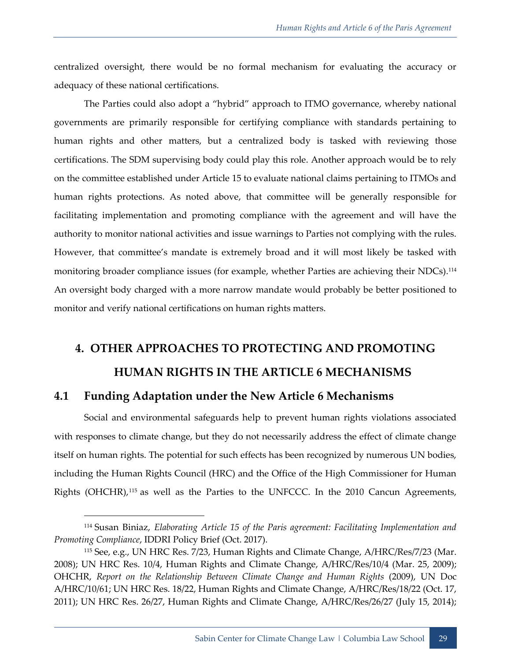centralized oversight, there would be no formal mechanism for evaluating the accuracy or adequacy of these national certifications.

The Parties could also adopt a "hybrid" approach to ITMO governance, whereby national governments are primarily responsible for certifying compliance with standards pertaining to human rights and other matters, but a centralized body is tasked with reviewing those certifications. The SDM supervising body could play this role. Another approach would be to rely on the committee established under Article 15 to evaluate national claims pertaining to ITMOs and human rights protections. As noted above, that committee will be generally responsible for facilitating implementation and promoting compliance with the agreement and will have the authority to monitor national activities and issue warnings to Parties not complying with the rules. However, that committee's mandate is extremely broad and it will most likely be tasked with monitoring broader compliance issues (for example, whether Parties are achieving their NDCs).<sup>114</sup> An oversight body charged with a more narrow mandate would probably be better positioned to monitor and verify national certifications on human rights matters.

## <span id="page-36-0"></span>**4. OTHER APPROACHES TO PROTECTING AND PROMOTING HUMAN RIGHTS IN THE ARTICLE 6 MECHANISMS**

#### <span id="page-36-1"></span>**4.1 Funding Adaptation under the New Article 6 Mechanisms**

-

Social and environmental safeguards help to prevent human rights violations associated with responses to climate change, but they do not necessarily address the effect of climate change itself on human rights. The potential for such effects has been recognized by numerous UN bodies, including the Human Rights Council (HRC) and the Office of the High Commissioner for Human Rights (OHCHR),<sup>115</sup> as well as the Parties to the UNFCCC. In the 2010 Cancun Agreements,

<sup>114</sup> Susan Biniaz, *Elaborating Article 15 of the Paris agreement: Facilitating Implementation and Promoting Compliance*, IDDRI Policy Brief (Oct. 2017).

<sup>115</sup> See, e.g., UN HRC Res. 7/23, Human Rights and Climate Change, A/HRC/Res/7/23 (Mar. 2008); UN HRC Res. 10/4, Human Rights and Climate Change, A/HRC/Res/10/4 (Mar. 25, 2009); OHCHR, *Report on the Relationship Between Climate Change and Human Rights* (2009), UN Doc A/HRC/10/61; UN HRC Res. 18/22, Human Rights and Climate Change, A/HRC/Res/18/22 (Oct. 17, 2011); UN HRC Res. 26/27, Human Rights and Climate Change, A/HRC/Res/26/27 (July 15, 2014);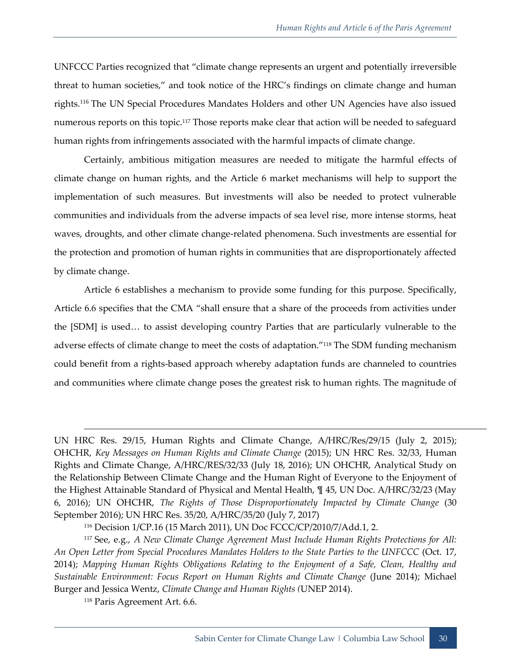UNFCCC Parties recognized that "climate change represents an urgent and potentially irreversible threat to human societies," and took notice of the HRC's findings on climate change and human rights.<sup>116</sup> The UN Special Procedures Mandates Holders and other UN Agencies have also issued numerous reports on this topic.<sup>117</sup> Those reports make clear that action will be needed to safeguard human rights from infringements associated with the harmful impacts of climate change.

Certainly, ambitious mitigation measures are needed to mitigate the harmful effects of climate change on human rights, and the Article 6 market mechanisms will help to support the implementation of such measures. But investments will also be needed to protect vulnerable communities and individuals from the adverse impacts of sea level rise, more intense storms, heat waves, droughts, and other climate change-related phenomena. Such investments are essential for the protection and promotion of human rights in communities that are disproportionately affected by climate change.

Article 6 establishes a mechanism to provide some funding for this purpose. Specifically, Article 6.6 specifies that the CMA "shall ensure that a share of the proceeds from activities under the [SDM] is used… to assist developing country Parties that are particularly vulnerable to the adverse effects of climate change to meet the costs of adaptation."<sup>118</sup> The SDM funding mechanism could benefit from a rights-based approach whereby adaptation funds are channeled to countries and communities where climate change poses the greatest risk to human rights. The magnitude of

<sup>118</sup> Paris Agreement Art. 6.6.

UN HRC Res. 29/15, Human Rights and Climate Change, A/HRC/Res/29/15 (July 2, 2015); OHCHR, *Key Messages on Human Rights and Climate Change* (2015); UN HRC Res. 32/33, Human Rights and Climate Change, A/HRC/RES/32/33 (July 18, 2016); UN OHCHR, Analytical Study on the Relationship Between Climate Change and the Human Right of Everyone to the Enjoyment of the Highest Attainable Standard of Physical and Mental Health, ¶ 45, UN Doc. A/HRC/32/23 (May 6, 2016); UN OHCHR, *The Rights of Those Disproportionately Impacted by Climate Change* (30 September 2016); UN HRC Res. 35/20, A/HRC/35/20 (July 7, 2017)

<sup>116</sup> Decision 1/CP.16 (15 March 2011), UN Doc FCCC/CP/2010/7/Add.1, 2.

<sup>117</sup> See, e.g., *A New Climate Change Agreement Must Include Human Rights Protections for All: An Open Letter from Special Procedures Mandates Holders to the State Parties to the UNFCCC* (Oct. 17, 2014); *Mapping Human Rights Obligations Relating to the Enjoyment of a Safe, Clean, Healthy and Sustainable Environment: Focus Report on Human Rights and Climate Change* (June 2014); Michael Burger and Jessica Wentz, *Climate Change and Human Rights (*UNEP 2014).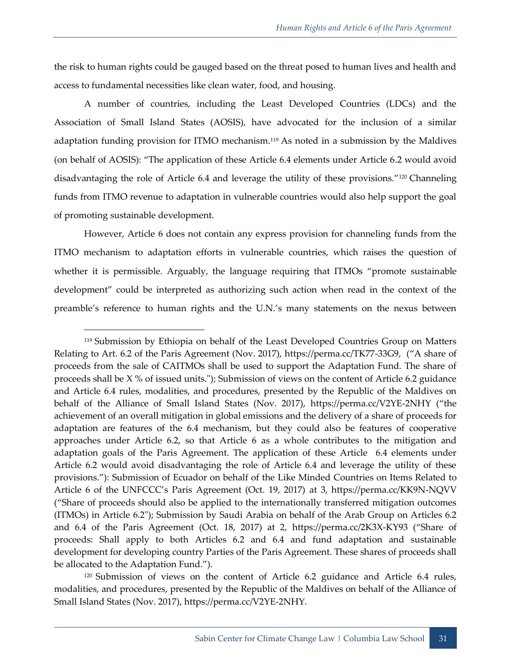the risk to human rights could be gauged based on the threat posed to human lives and health and access to fundamental necessities like clean water, food, and housing.

A number of countries, including the Least Developed Countries (LDCs) and the Association of Small Island States (AOSIS), have advocated for the inclusion of a similar adaptation funding provision for ITMO mechanism.<sup>119</sup> As noted in a submission by the Maldives (on behalf of AOSIS): "The application of these Article 6.4 elements under Article 6.2 would avoid disadvantaging the role of Article 6.4 and leverage the utility of these provisions."<sup>120</sup> Channeling funds from ITMO revenue to adaptation in vulnerable countries would also help support the goal of promoting sustainable development.

However, Article 6 does not contain any express provision for channeling funds from the ITMO mechanism to adaptation efforts in vulnerable countries, which raises the question of whether it is permissible. Arguably, the language requiring that ITMOs "promote sustainable development" could be interpreted as authorizing such action when read in the context of the preamble's reference to human rights and the U.N.'s many statements on the nexus between

<sup>119</sup> Submission by Ethiopia on behalf of the Least Developed Countries Group on Matters Relating to Art. 6.2 of the Paris Agreement (Nov. 2017), https://perma.cc/TK77-33G9, ("A share of proceeds from the sale of CAITMOs shall be used to support the Adaptation Fund. The share of proceeds shall be  $X$  % of issued units."); Submission of views on the content of Article 6.2 guidance and Article 6.4 rules, modalities, and procedures, presented by the Republic of the Maldives on behalf of the Alliance of Small Island States (Nov. 2017), https://perma.cc/V2YE-2NHY ("the achievement of an overall mitigation in global emissions and the delivery of a share of proceeds for adaptation are features of the 6.4 mechanism, but they could also be features of cooperative approaches under Article 6.2, so that Article 6 as a whole contributes to the mitigation and adaptation goals of the Paris Agreement. The application of these Article 6.4 elements under Article 6.2 would avoid disadvantaging the role of Article 6.4 and leverage the utility of these provisions."): Submission of Ecuador on behalf of the Like Minded Countries on Items Related to Article 6 of the UNFCCC's Paris Agreement (Oct. 19, 2017) at 3, https://perma.cc/KK9N-NQVV ("Share of proceeds should also be applied to the internationally transferred mitigation outcomes (ITMOs) in Article 6.2"); Submission by Saudi Arabia on behalf of the Arab Group on Articles 6.2 and 6.4 of the Paris Agreement (Oct. 18, 2017) at 2, https://perma.cc/2K3X-KY93 ("Share of proceeds: Shall apply to both Articles 6.2 and 6.4 and fund adaptation and sustainable development for developing country Parties of the Paris Agreement. These shares of proceeds shall be allocated to the Adaptation Fund.").

<sup>120</sup> Submission of views on the content of Article 6.2 guidance and Article 6.4 rules, modalities, and procedures, presented by the Republic of the Maldives on behalf of the Alliance of Small Island States (Nov. 2017), https://perma.cc/V2YE-2NHY.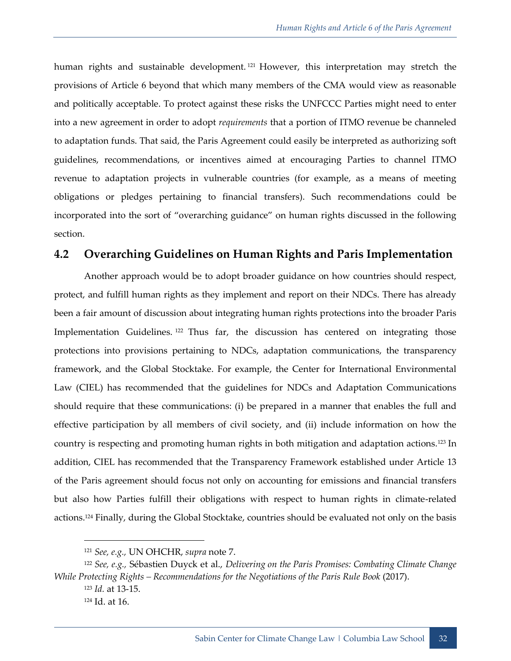human rights and sustainable development.<sup>121</sup> However, this interpretation may stretch the provisions of Article 6 beyond that which many members of the CMA would view as reasonable and politically acceptable. To protect against these risks the UNFCCC Parties might need to enter into a new agreement in order to adopt *requirements* that a portion of ITMO revenue be channeled to adaptation funds. That said, the Paris Agreement could easily be interpreted as authorizing soft guidelines, recommendations, or incentives aimed at encouraging Parties to channel ITMO revenue to adaptation projects in vulnerable countries (for example, as a means of meeting obligations or pledges pertaining to financial transfers). Such recommendations could be incorporated into the sort of "overarching guidance" on human rights discussed in the following section.

#### <span id="page-39-0"></span>**4.2 Overarching Guidelines on Human Rights and Paris Implementation**

Another approach would be to adopt broader guidance on how countries should respect, protect, and fulfill human rights as they implement and report on their NDCs. There has already been a fair amount of discussion about integrating human rights protections into the broader Paris Implementation Guidelines.<sup>122</sup> Thus far, the discussion has centered on integrating those protections into provisions pertaining to NDCs, adaptation communications, the transparency framework, and the Global Stocktake. For example, the Center for International Environmental Law (CIEL) has recommended that the guidelines for NDCs and Adaptation Communications should require that these communications: (i) be prepared in a manner that enables the full and effective participation by all members of civil society, and (ii) include information on how the country is respecting and promoting human rights in both mitigation and adaptation actions.<sup>123</sup> In addition, CIEL has recommended that the Transparency Framework established under Article 13 of the Paris agreement should focus not only on accounting for emissions and financial transfers but also how Parties fulfill their obligations with respect to human rights in climate-related actions.<sup>124</sup> Finally, during the Global Stocktake, countries should be evaluated not only on the basis

<sup>123</sup> *Id.* at 13-15.

<sup>121</sup> *See, e.g.,* UN OHCHR, *supra* note [7.](#page-9-0)

<sup>122</sup> *See, e.g.,* Sébastien Duyck et al., *Delivering on the Paris Promises: Combating Climate Change While Protecting Rights – Recommendations for the Negotiations of the Paris Rule Book* (2017).

<sup>124</sup> Id. at 16.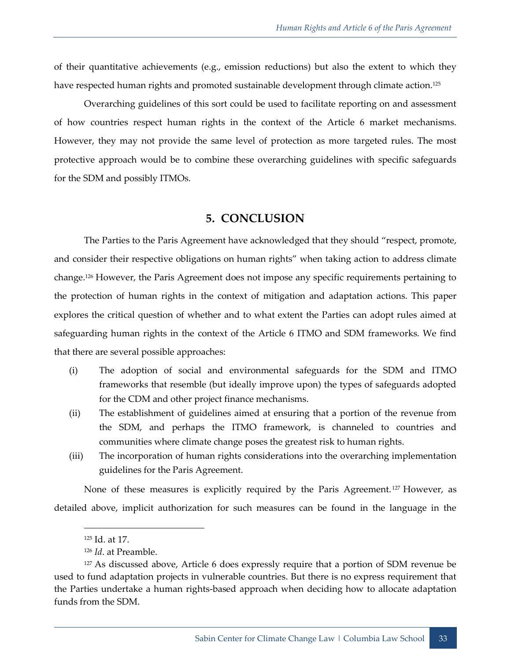of their quantitative achievements (e.g., emission reductions) but also the extent to which they have respected human rights and promoted sustainable development through climate action.<sup>125</sup>

Overarching guidelines of this sort could be used to facilitate reporting on and assessment of how countries respect human rights in the context of the Article 6 market mechanisms. However, they may not provide the same level of protection as more targeted rules. The most protective approach would be to combine these overarching guidelines with specific safeguards for the SDM and possibly ITMOs.

#### **5. CONCLUSION**

<span id="page-40-0"></span>The Parties to the Paris Agreement have acknowledged that they should "respect, promote, and consider their respective obligations on human rights" when taking action to address climate change.<sup>126</sup> However, the Paris Agreement does not impose any specific requirements pertaining to the protection of human rights in the context of mitigation and adaptation actions. This paper explores the critical question of whether and to what extent the Parties can adopt rules aimed at safeguarding human rights in the context of the Article 6 ITMO and SDM frameworks. We find that there are several possible approaches:

- (i) The adoption of social and environmental safeguards for the SDM and ITMO frameworks that resemble (but ideally improve upon) the types of safeguards adopted for the CDM and other project finance mechanisms.
- (ii) The establishment of guidelines aimed at ensuring that a portion of the revenue from the SDM, and perhaps the ITMO framework, is channeled to countries and communities where climate change poses the greatest risk to human rights.
- (iii) The incorporation of human rights considerations into the overarching implementation guidelines for the Paris Agreement.

None of these measures is explicitly required by the Paris Agreement. <sup>127</sup> However, as detailed above, implicit authorization for such measures can be found in the language in the

<sup>125</sup> Id. at 17.

<sup>126</sup> *Id*. at Preamble.

<sup>127</sup> As discussed above, Article 6 does expressly require that a portion of SDM revenue be used to fund adaptation projects in vulnerable countries. But there is no express requirement that the Parties undertake a human rights-based approach when deciding how to allocate adaptation funds from the SDM.